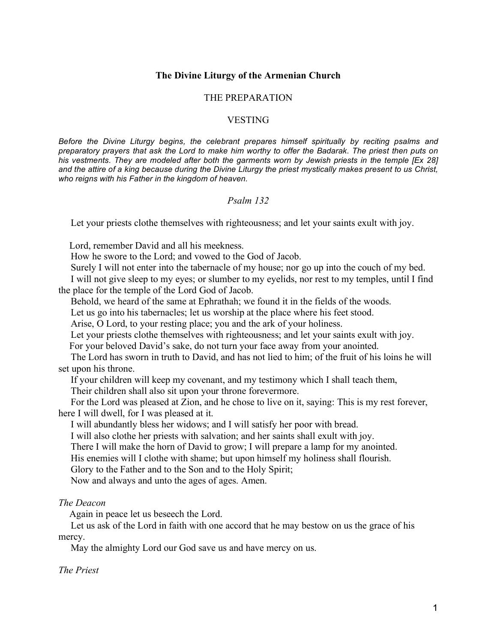## **The Divine Liturgy of the Armenian Church**

## THE PREPARATION

### VESTING

*Before the Divine Liturgy begins, the celebrant prepares himself spiritually by reciting psalms and preparatory prayers that ask the Lord to make him worthy to offer the Badarak. The priest then puts on his vestments. They are modeled after both the garments worn by Jewish priests in the temple [Ex 28] and the attire of a king because during the Divine Liturgy the priest mystically makes present to us Christ, who reigns with his Father in the kingdom of heaven.*

# *Psalm 132*

Let your priests clothe themselves with righteousness; and let your saints exult with joy.

Lord, remember David and all his meekness.

How he swore to the Lord; and vowed to the God of Jacob.

Surely I will not enter into the tabernacle of my house; nor go up into the couch of my bed.

 I will not give sleep to my eyes; or slumber to my eyelids, nor rest to my temples, until I find the place for the temple of the Lord God of Jacob.

Behold, we heard of the same at Ephrathah; we found it in the fields of the woods.

Let us go into his tabernacles; let us worship at the place where his feet stood.

Arise, O Lord, to your resting place; you and the ark of your holiness.

Let your priests clothe themselves with righteousness; and let your saints exult with joy.

For your beloved David's sake, do not turn your face away from your anointed.

 The Lord has sworn in truth to David, and has not lied to him; of the fruit of his loins he will set upon his throne.

If your children will keep my covenant, and my testimony which I shall teach them,

Their children shall also sit upon your throne forevermore.

 For the Lord was pleased at Zion, and he chose to live on it, saying: This is my rest forever, here I will dwell, for I was pleased at it.

I will abundantly bless her widows; and I will satisfy her poor with bread.

I will also clothe her priests with salvation; and her saints shall exult with joy.

There I will make the horn of David to grow; I will prepare a lamp for my anointed.

His enemies will I clothe with shame; but upon himself my holiness shall flourish.

Glory to the Father and to the Son and to the Holy Spirit;

Now and always and unto the ages of ages. Amen.

## *The Deacon*

Again in peace let us beseech the Lord.

 Let us ask of the Lord in faith with one accord that he may bestow on us the grace of his mercy.

May the almighty Lord our God save us and have mercy on us.

# *The Priest*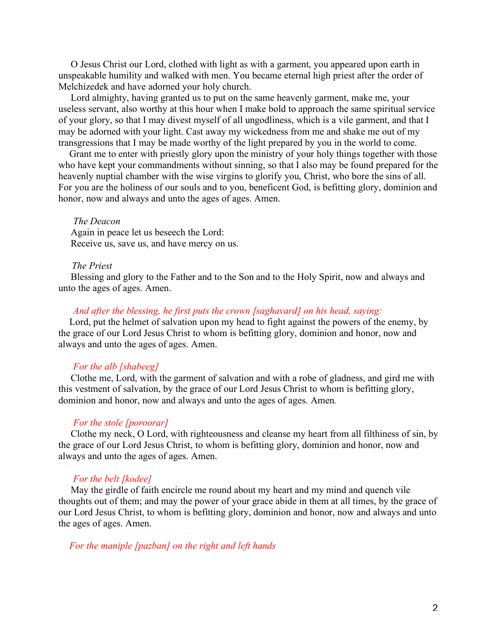O Jesus Christ our Lord, clothed with light as with a garment, you appeared upon earth in unspeakable humility and walked with men. You became eternal high priest after the order of Melchizedek and have adorned your holy church.

 Lord almighty, having granted us to put on the same heavenly garment, make me, your useless servant, also worthy at this hour when I make bold to approach the same spiritual service of your glory, so that I may divest myself of all ungodliness, which is a vile garment, and that I may be adorned with your light. Cast away my wickedness from me and shake me out of my transgressions that I may be made worthy of the light prepared by you in the world to come.

Grant me to enter with priestly glory upon the ministry of your holy things together with those who have kept your commandments without sinning, so that I also may be found prepared for the heavenly nuptial chamber with the wise virgins to glorify you, Christ, who bore the sins of all. For you are the holiness of our souls and to you, beneficent God, is befitting glory, dominion and honor, now and always and unto the ages of ages. Amen.

### *The Deacon*

 Again in peace let us beseech the Lord: Receive us, save us, and have mercy on us.

## *The Priest*

 Blessing and glory to the Father and to the Son and to the Holy Spirit, now and always and unto the ages of ages. Amen.

## *And after the blessing, he first puts the crown [saghavard] on his head, saying:*

Lord, put the helmet of salvation upon my head to fight against the powers of the enemy, by the grace of our Lord Jesus Christ to whom is befitting glory, dominion and honor, now and always and unto the ages of ages. Amen.

### *For the alb [shabeeg]*

 Clothe me, Lord, with the garment of salvation and with a robe of gladness, and gird me with this vestment of salvation, by the grace of our Lord Jesus Christ to whom is befitting glory, dominion and honor, now and always and unto the ages of ages. Amen*.*

## *For the stole [poroorar]*

 Clothe my neck, O Lord, with righteousness and cleanse my heart from all filthiness of sin, by the grace of our Lord Jesus Christ, to whom is befitting glory, dominion and honor, now and always and unto the ages of ages. Amen.

### *For the belt [kodee]*

 May the girdle of faith encircle me round about my heart and my mind and quench vile thoughts out of them; and may the power of your grace abide in them at all times, by the grace of our Lord Jesus Christ, to whom is befitting glory, dominion and honor, now and always and unto the ages of ages. Amen.

# *For the maniple [pazban] on the right and left hands*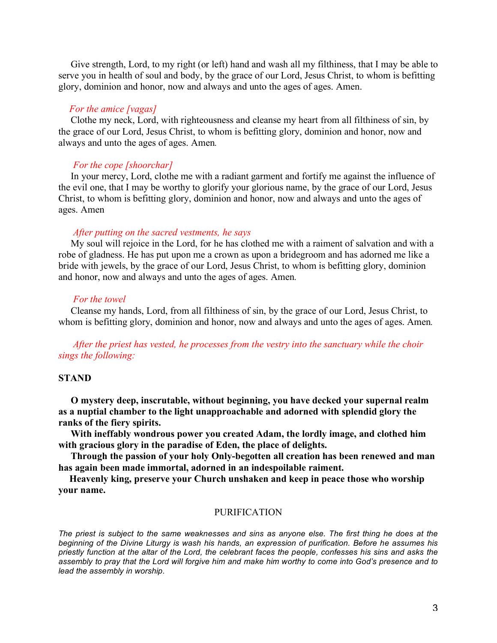Give strength, Lord, to my right (or left) hand and wash all my filthiness, that I may be able to serve you in health of soul and body, by the grace of our Lord, Jesus Christ, to whom is befitting glory, dominion and honor, now and always and unto the ages of ages. Amen.

## *For the amice [vagas]*

 Clothe my neck, Lord, with righteousness and cleanse my heart from all filthiness of sin, by the grace of our Lord, Jesus Christ, to whom is befitting glory, dominion and honor, now and always and unto the ages of ages. Amen*.*

## *For the cope [shoorchar]*

 In your mercy, Lord, clothe me with a radiant garment and fortify me against the influence of the evil one, that I may be worthy to glorify your glorious name, by the grace of our Lord, Jesus Christ, to whom is befitting glory, dominion and honor, now and always and unto the ages of ages. Amen

#### *After putting on the sacred vestments, he says*

 My soul will rejoice in the Lord, for he has clothed me with a raiment of salvation and with a robe of gladness. He has put upon me a crown as upon a bridegroom and has adorned me like a bride with jewels, by the grace of our Lord, Jesus Christ, to whom is befitting glory, dominion and honor, now and always and unto the ages of ages. Amen*.*

### *For the towel*

 Cleanse my hands, Lord, from all filthiness of sin, by the grace of our Lord, Jesus Christ, to whom is befitting glory, dominion and honor, now and always and unto the ages of ages. Amen*.*

 *After the priest has vested, he processes from the vestry into the sanctuary while the choir sings the following:*

### **STAND**

 **O mystery deep, inscrutable, without beginning, you have decked your supernal realm as a nuptial chamber to the light unapproachable and adorned with splendid glory the ranks of the fiery spirits.**

 **With ineffably wondrous power you created Adam, the lordly image, and clothed him with gracious glory in the paradise of Eden, the place of delights.**

 **Through the passion of your holy Only-begotten all creation has been renewed and man has again been made immortal, adorned in an indespoilable raiment.**

**Heavenly king, preserve your Church unshaken and keep in peace those who worship your name.**

### PURIFICATION

*The priest is subject to the same weaknesses and sins as anyone else. The first thing he does at the beginning of the Divine Liturgy is wash his hands, an expression of purification. Before he assumes his priestly function at the altar of the Lord, the celebrant faces the people, confesses his sins and asks the assembly to pray that the Lord will forgive him and make him worthy to come into God's presence and to lead the assembly in worship.*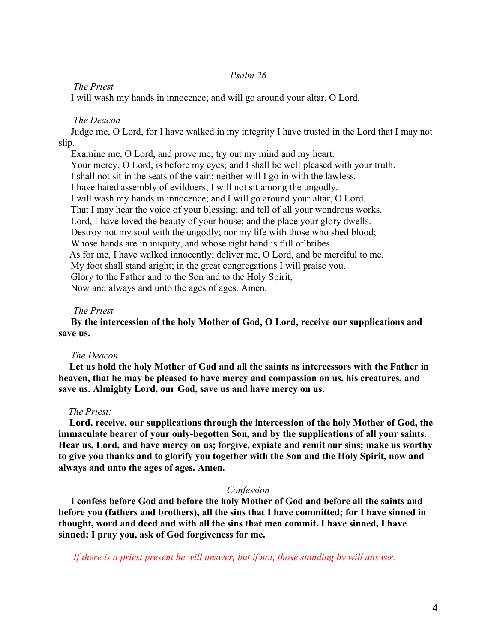## *Psalm 26*

## *The Priest*

I will wash my hands in innocence; and will go around your altar, O Lord.

## *The Deacon*

 Judge me, O Lord, for I have walked in my integrity I have trusted in the Lord that I may not slip.

 Examine me, O Lord, and prove me; try out my mind and my heart. Your mercy, O Lord, is before my eyes; and I shall be well pleased with your truth. I shall not sit in the seats of the vain; neither will I go in with the lawless. I have hated assembly of evildoers; I will not sit among the ungodly. I will wash my hands in innocence; and I will go around your altar, O Lord. That I may hear the voice of your blessing; and tell of all your wondrous works. Lord, I have loved the beauty of your house; and the place your glory dwells. Destroy not my soul with the ungodly; nor my life with those who shed blood; Whose hands are in iniquity, and whose right hand is full of bribes. As for me, I have walked innocently; deliver me, O Lord, and be merciful to me. My foot shall stand aright; in the great congregations I will praise you. Glory to the Father and to the Son and to the Holy Spirit, Now and always and unto the ages of ages. Amen.

### *The Priest*

 **By the intercession of the holy Mother of God, O Lord, receive our supplications and save us.**

#### *The Deacon*

**Let us hold the holy Mother of God and all the saints as intercessors with the Father in heaven, that he may be pleased to have mercy and compassion on us, his creatures, and save us. Almighty Lord, our God, save us and have mercy on us.**

### *The Priest:*

**Lord, receive, our supplications through the intercession of the holy Mother of God, the immaculate bearer of your only-begotten Son, and by the supplications of all your saints. Hear us, Lord, and have mercy on us; forgive, expiate and remit our sins; make us worthy to give you thanks and to glorify you together with the Son and the Holy Spirit, now and always and unto the ages of ages. Amen.**

## *Confession*

 **I confess before God and before the holy Mother of God and before all the saints and before you (fathers and brothers), all the sins that I have committed; for I have sinned in thought, word and deed and with all the sins that men commit. I have sinned, I have sinned; I pray you, ask of God forgiveness for me.**

 *If there is a priest present he will answer, but if not, those standing by will answer:*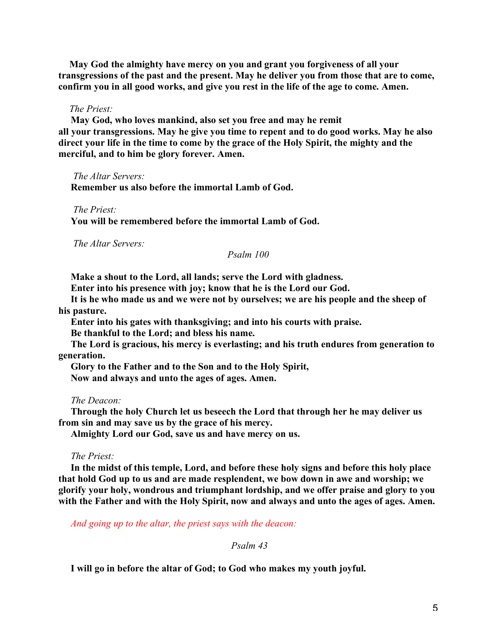**May God the almighty have mercy on you and grant you forgiveness of all your transgressions of the past and the present. May he deliver you from those that are to come, confirm you in all good works, and give you rest in the life of the age to come. Amen.**

## *The Priest:*

 **May God, who loves mankind, also set you free and may he remit all your transgressions. May he give you time to repent and to do good works. May he also direct your life in the time to come by the grace of the Holy Spirit, the mighty and the merciful, and to him be glory forever. Amen.**

 *The Altar Servers:*

 **Remember us also before the immortal Lamb of God.**

## *The Priest:*

 **You will be remembered before the immortal Lamb of God.**

 *The Altar Servers:*

*Psalm 100*

**Make a shout to the Lord, all lands; serve the Lord with gladness.**

 **Enter into his presence with joy; know that he is the Lord our God.**

 **It is he who made us and we were not by ourselves; we are his people and the sheep of his pasture.**

 **Enter into his gates with thanksgiving; and into his courts with praise.**

 **Be thankful to the Lord; and bless his name.**

 **The Lord is gracious, his mercy is everlasting; and his truth endures from generation to generation.**

 **Glory to the Father and to the Son and to the Holy Spirit,**

 **Now and always and unto the ages of ages. Amen.**

 *The Deacon:*

 **Through the holy Church let us beseech the Lord that through her he may deliver us from sin and may save us by the grace of his mercy.**

 **Almighty Lord our God, save us and have mercy on us.**

### *The Priest:*

 **In the midst of this temple, Lord, and before these holy signs and before this holy place that hold God up to us and are made resplendent, we bow down in awe and worship; we glorify your holy, wondrous and triumphant lordship, and we offer praise and glory to you with the Father and with the Holy Spirit, now and always and unto the ages of ages. Amen.**

 *And going up to the altar, the priest says with the deacon:*

 *Psalm 43*

 **I will go in before the altar of God; to God who makes my youth joyful.**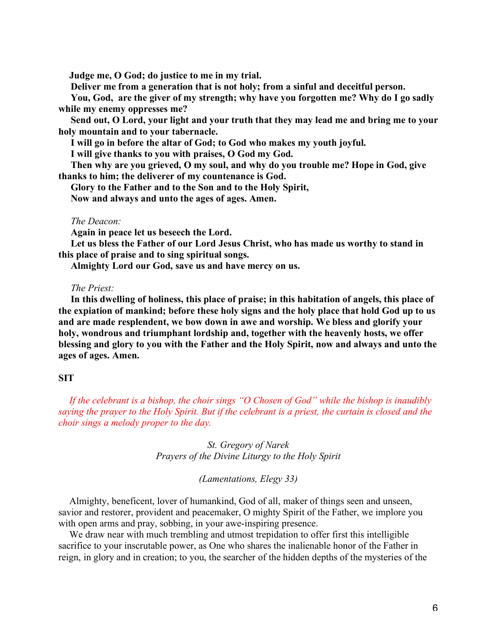**Judge me, O God; do justice to me in my trial.**

 **Deliver me from a generation that is not holy; from a sinful and deceitful person.**

 **You, God, are the giver of my strength; why have you forgotten me? Why do I go sadly while my enemy oppresses me?**

 **Send out, O Lord, your light and your truth that they may lead me and bring me to your holy mountain and to your tabernacle.**

 **I will go in before the altar of God; to God who makes my youth joyful.**

 **I will give thanks to you with praises, O God my God.**

 **Then why are you grieved, O my soul, and why do you trouble me? Hope in God, give thanks to him; the deliverer of my countenance is God.**

 **Glory to the Father and to the Son and to the Holy Spirit,**

 **Now and always and unto the ages of ages. Amen.**

### *The Deacon:*

**Again in peace let us beseech the Lord.**

 **Let us bless the Father of our Lord Jesus Christ, who has made us worthy to stand in this place of praise and to sing spiritual songs.**

 **Almighty Lord our God, save us and have mercy on us.**

### *The Priest:*

 **In this dwelling of holiness, this place of praise; in this habitation of angels, this place of the expiation of mankind; before these holy signs and the holy place that hold God up to us and are made resplendent, we bow down in awe and worship. We bless and glorify your holy, wondrous and triumphant lordship and, together with the heavenly hosts, we offer blessing and glory to you with the Father and the Holy Spirit, now and always and unto the ages of ages. Amen.**

## **SIT**

*If the celebrant is a bishop, the choir sings "O Chosen of God" while the bishop is inaudibly saying the prayer to the Holy Spirit. But if the celebrant is a priest, the curtain is closed and the choir sings a melody proper to the day.*

> *St. Gregory of Narek Prayers of the Divine Liturgy to the Holy Spirit*

## *(Lamentations, Elegy 33)*

Almighty, beneficent, lover of humankind, God of all, maker of things seen and unseen, savior and restorer, provident and peacemaker, O mighty Spirit of the Father, we implore you with open arms and pray, sobbing, in your awe-inspiring presence.

We draw near with much trembling and utmost trepidation to offer first this intelligible sacrifice to your inscrutable power, as One who shares the inalienable honor of the Father in reign, in glory and in creation; to you, the searcher of the hidden depths of the mysteries of the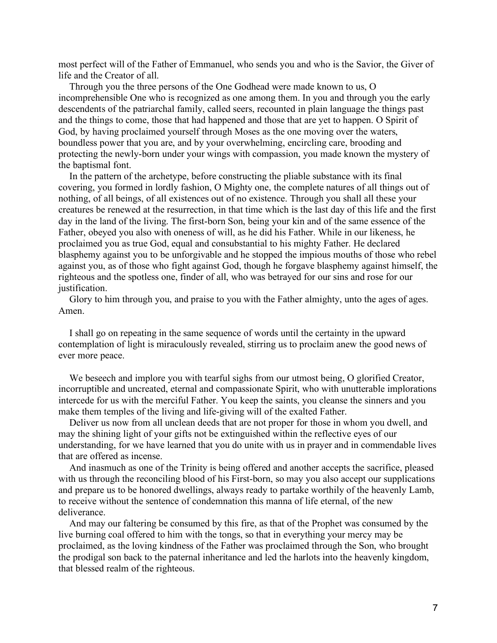most perfect will of the Father of Emmanuel, who sends you and who is the Savior, the Giver of life and the Creator of all.

Through you the three persons of the One Godhead were made known to us, O incomprehensible One who is recognized as one among them. In you and through you the early descendents of the patriarchal family, called seers, recounted in plain language the things past and the things to come, those that had happened and those that are yet to happen. O Spirit of God, by having proclaimed yourself through Moses as the one moving over the waters, boundless power that you are, and by your overwhelming, encircling care, brooding and protecting the newly-born under your wings with compassion, you made known the mystery of the baptismal font.

In the pattern of the archetype, before constructing the pliable substance with its final covering, you formed in lordly fashion, O Mighty one, the complete natures of all things out of nothing, of all beings, of all existences out of no existence. Through you shall all these your creatures be renewed at the resurrection, in that time which is the last day of this life and the first day in the land of the living. The first-born Son, being your kin and of the same essence of the Father, obeyed you also with oneness of will, as he did his Father. While in our likeness, he proclaimed you as true God, equal and consubstantial to his mighty Father. He declared blasphemy against you to be unforgivable and he stopped the impious mouths of those who rebel against you, as of those who fight against God, though he forgave blasphemy against himself, the righteous and the spotless one, finder of all, who was betrayed for our sins and rose for our justification.

Glory to him through you, and praise to you with the Father almighty, unto the ages of ages. Amen.

I shall go on repeating in the same sequence of words until the certainty in the upward contemplation of light is miraculously revealed, stirring us to proclaim anew the good news of ever more peace.

We beseech and implore you with tearful sighs from our utmost being, O glorified Creator, incorruptible and uncreated, eternal and compassionate Spirit, who with unutterable implorations intercede for us with the merciful Father. You keep the saints, you cleanse the sinners and you make them temples of the living and life-giving will of the exalted Father.

Deliver us now from all unclean deeds that are not proper for those in whom you dwell, and may the shining light of your gifts not be extinguished within the reflective eyes of our understanding, for we have learned that you do unite with us in prayer and in commendable lives that are offered as incense.

And inasmuch as one of the Trinity is being offered and another accepts the sacrifice, pleased with us through the reconciling blood of his First-born, so may you also accept our supplications and prepare us to be honored dwellings, always ready to partake worthily of the heavenly Lamb, to receive without the sentence of condemnation this manna of life eternal, of the new deliverance.

And may our faltering be consumed by this fire, as that of the Prophet was consumed by the live burning coal offered to him with the tongs, so that in everything your mercy may be proclaimed, as the loving kindness of the Father was proclaimed through the Son, who brought the prodigal son back to the paternal inheritance and led the harlots into the heavenly kingdom, that blessed realm of the righteous.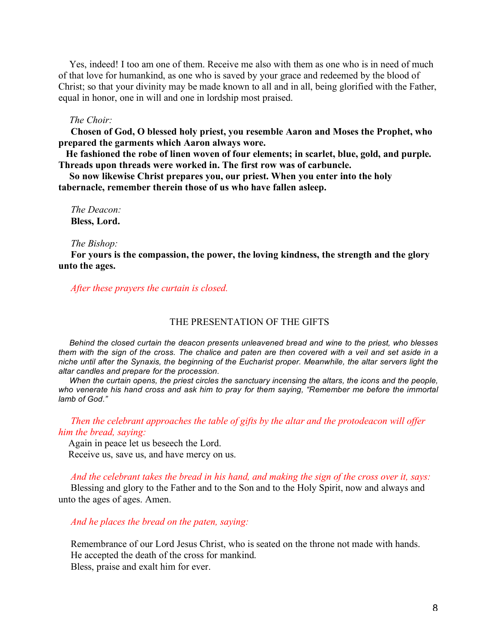Yes, indeed! I too am one of them. Receive me also with them as one who is in need of much of that love for humankind, as one who is saved by your grace and redeemed by the blood of Christ; so that your divinity may be made known to all and in all, being glorified with the Father, equal in honor, one in will and one in lordship most praised.

### *The Choir:*

 **Chosen of God, O blessed holy priest, you resemble Aaron and Moses the Prophet, who prepared the garments which Aaron always wore.**

**He fashioned the robe of linen woven of four elements; in scarlet, blue, gold, and purple. Threads upon threads were worked in. The first row was of carbuncle.**

**So now likewise Christ prepares you, our priest. When you enter into the holy tabernacle, remember therein those of us who have fallen asleep.**

 *The Deacon:* **Bless, Lord.**

 *The Bishop:*

 **For yours is the compassion, the power, the loving kindness, the strength and the glory unto the ages.**

 *After these prayers the curtain is closed.*

#### THE PRESENTATION OF THE GIFTS

*Behind the closed curtain the deacon presents unleavened bread and wine to the priest, who blesses them with the sign of the cross. The chalice and paten are then covered with a veil and set aside in a niche until after the Synaxis, the beginning of the Eucharist proper. Meanwhile, the altar servers light the altar candles and prepare for the procession.*

*When the curtain opens, the priest circles the sanctuary incensing the altars, the icons and the people, who venerate his hand cross and ask him to pray for them saying, "Remember me before the immortal lamb of God."*

 *Then the celebrant approaches the table of gifts by the altar and the protodeacon will offer him the bread, saying:*

Again in peace let us beseech the Lord. Receive us, save us, and have mercy on us.

*And the celebrant takes the bread in his hand, and making the sign of the cross over it, says:*

 Blessing and glory to the Father and to the Son and to the Holy Spirit, now and always and unto the ages of ages. Amen.

 *And he places the bread on the paten, saying:*

 Remembrance of our Lord Jesus Christ, who is seated on the throne not made with hands. He accepted the death of the cross for mankind. Bless, praise and exalt him for ever.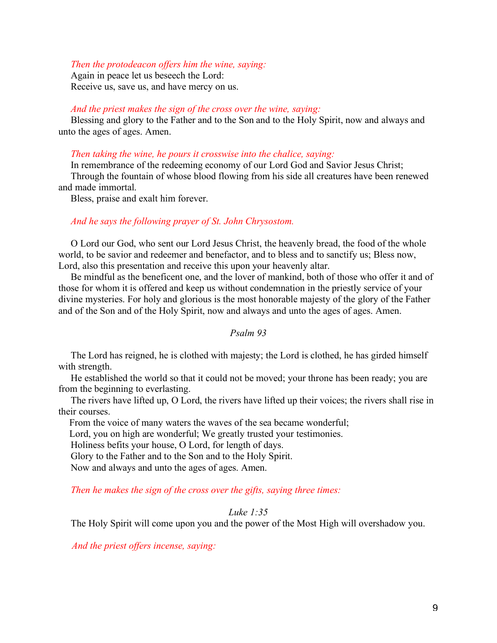## *Then the protodeacon offers him the wine, saying:*

 Again in peace let us beseech the Lord: Receive us, save us, and have mercy on us.

## *And the priest makes the sign of the cross over the wine, saying:*

 Blessing and glory to the Father and to the Son and to the Holy Spirit, now and always and unto the ages of ages. Amen.

## *Then taking the wine, he pours it crosswise into the chalice, saying:*

 In remembrance of the redeeming economy of our Lord God and Savior Jesus Christ; Through the fountain of whose blood flowing from his side all creatures have been renewed and made immortal.

Bless, praise and exalt him forever.

## *And he says the following prayer of St. John Chrysostom.*

 O Lord our God, who sent our Lord Jesus Christ, the heavenly bread, the food of the whole world, to be savior and redeemer and benefactor, and to bless and to sanctify us; Bless now, Lord, also this presentation and receive this upon your heavenly altar.

 Be mindful as the beneficent one, and the lover of mankind, both of those who offer it and of those for whom it is offered and keep us without condemnation in the priestly service of your divine mysteries. For holy and glorious is the most honorable majesty of the glory of the Father and of the Son and of the Holy Spirit, now and always and unto the ages of ages. Amen.

## *Psalm 93*

 The Lord has reigned, he is clothed with majesty; the Lord is clothed, he has girded himself with strength.

 He established the world so that it could not be moved; your throne has been ready; you are from the beginning to everlasting.

 The rivers have lifted up, O Lord, the rivers have lifted up their voices; the rivers shall rise in their courses.

From the voice of many waters the waves of the sea became wonderful;

Lord, you on high are wonderful; We greatly trusted your testimonies.

Holiness befits your house, O Lord, for length of days.

Glory to the Father and to the Son and to the Holy Spirit.

Now and always and unto the ages of ages. Amen.

*Then he makes the sign of the cross over the gifts, saying three times:*

## *Luke 1:35*

The Holy Spirit will come upon you and the power of the Most High will overshadow you.

 *And the priest offers incense, saying:*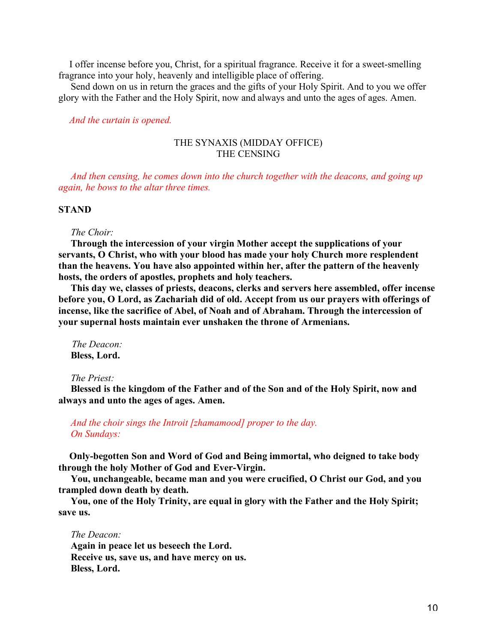I offer incense before you, Christ, for a spiritual fragrance. Receive it for a sweet-smelling fragrance into your holy, heavenly and intelligible place of offering.

 Send down on us in return the graces and the gifts of your Holy Spirit. And to you we offer glory with the Father and the Holy Spirit, now and always and unto the ages of ages. Amen.

*And the curtain is opened.*

## THE SYNAXIS (MIDDAY OFFICE) THE CENSING

 *And then censing, he comes down into the church together with the deacons, and going up again, he bows to the altar three times.*

## **STAND**

 *The Choir:*

 **Through the intercession of your virgin Mother accept the supplications of your servants, O Christ, who with your blood has made your holy Church more resplendent than the heavens. You have also appointed within her, after the pattern of the heavenly hosts, the orders of apostles, prophets and holy teachers.**

 **This day we, classes of priests, deacons, clerks and servers here assembled, offer incense before you, O Lord, as Zachariah did of old. Accept from us our prayers with offerings of incense, like the sacrifice of Abel, of Noah and of Abraham. Through the intercession of your supernal hosts maintain ever unshaken the throne of Armenians.**

 *The Deacon:* **Bless, Lord.**

#### *The Priest:*

 **Blessed is the kingdom of the Father and of the Son and of the Holy Spirit, now and always and unto the ages of ages. Amen.**

 *And the choir sings the Introit [zhamamood] proper to the day. On Sundays:*

**Only-begotten Son and Word of God and Being immortal, who deigned to take body through the holy Mother of God and Ever-Virgin.**

 **You, unchangeable, became man and you were crucified, O Christ our God, and you trampled down death by death.**

 **You, one of the Holy Trinity, are equal in glory with the Father and the Holy Spirit; save us.**

 *The Deacon:*  **Again in peace let us beseech the Lord. Receive us, save us, and have mercy on us. Bless, Lord.**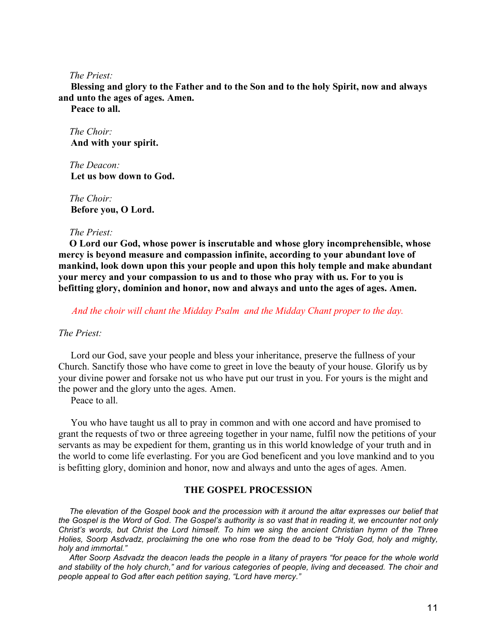### *The Priest:*

 **Blessing and glory to the Father and to the Son and to the holy Spirit, now and always and unto the ages of ages. Amen.**

 **Peace to all.**

*The Choir:*  **And with your spirit.**

*The Deacon:*  **Let us bow down to God.**

*The Choir:*  **Before you, O Lord.**

### *The Priest:*

**O Lord our God, whose power is inscrutable and whose glory incomprehensible, whose mercy is beyond measure and compassion infinite, according to your abundant love of mankind, look down upon this your people and upon this holy temple and make abundant your mercy and your compassion to us and to those who pray with us. For to you is befitting glory, dominion and honor, now and always and unto the ages of ages. Amen.**

 *And the choir will chant the Midday Psalm and the Midday Chant proper to the day.*

## *The Priest:*

 Lord our God, save your people and bless your inheritance, preserve the fullness of your Church. Sanctify those who have come to greet in love the beauty of your house. Glorify us by your divine power and forsake not us who have put our trust in you. For yours is the might and the power and the glory unto the ages. Amen.

Peace to all.

 You who have taught us all to pray in common and with one accord and have promised to grant the requests of two or three agreeing together in your name, fulfil now the petitions of your servants as may be expedient for them, granting us in this world knowledge of your truth and in the world to come life everlasting. For you are God beneficent and you love mankind and to you is befitting glory, dominion and honor, now and always and unto the ages of ages. Amen.

### **THE GOSPEL PROCESSION**

*The elevation of the Gospel book and the procession with it around the altar expresses our belief that the Gospel is the Word of God. The Gospel's authority is so vast that in reading it, we encounter not only Christ's words, but Christ the Lord himself. To him we sing the ancient Christian hymn of the Three Holies, Soorp Asdvadz, proclaiming the one who rose from the dead to be "Holy God, holy and mighty, holy and immortal."*

*After Soorp Asdvadz the deacon leads the people in a litany of prayers "for peace for the whole world and stability of the holy church," and for various categories of people, living and deceased. The choir and people appeal to God after each petition saying, "Lord have mercy."*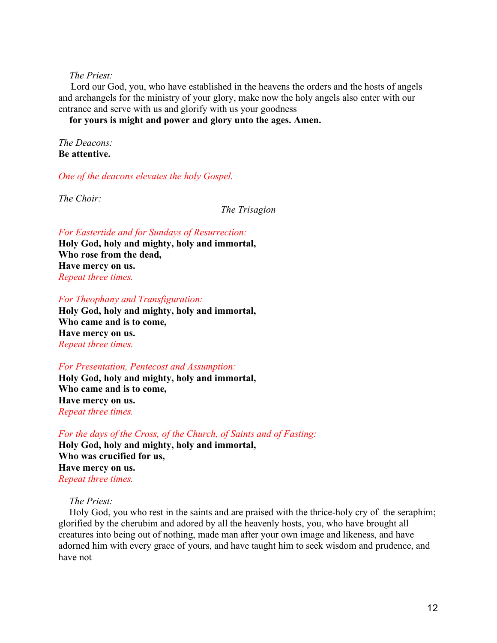## *The Priest:*

 Lord our God, you, who have established in the heavens the orders and the hosts of angels and archangels for the ministry of your glory, make now the holy angels also enter with our entrance and serve with us and glorify with us your goodness

**for yours is might and power and glory unto the ages. Amen.**

*The Deacons:* **Be attentive.**

*One of the deacons elevates the holy Gospel.*

*The Choir:*

*The Trisagion*

*For Eastertide and for Sundays of Resurrection:* **Holy God, holy and mighty, holy and immortal, Who rose from the dead, Have mercy on us.** *Repeat three times.*

## *For Theophany and Transfiguration:*

**Holy God, holy and mighty, holy and immortal, Who came and is to come, Have mercy on us.** *Repeat three times.*

## *For Presentation, Pentecost and Assumption:*

**Holy God, holy and mighty, holy and immortal, Who came and is to come, Have mercy on us.** *Repeat three times.*

*For the days of the Cross, of the Church, of Saints and of Fasting:*

**Holy God, holy and mighty, holy and immortal, Who was crucified for us, Have mercy on us.** *Repeat three times.*

## *The Priest:*

Holy God, you who rest in the saints and are praised with the thrice-holy cry of the seraphim; glorified by the cherubim and adored by all the heavenly hosts, you, who have brought all creatures into being out of nothing, made man after your own image and likeness, and have adorned him with every grace of yours, and have taught him to seek wisdom and prudence, and have not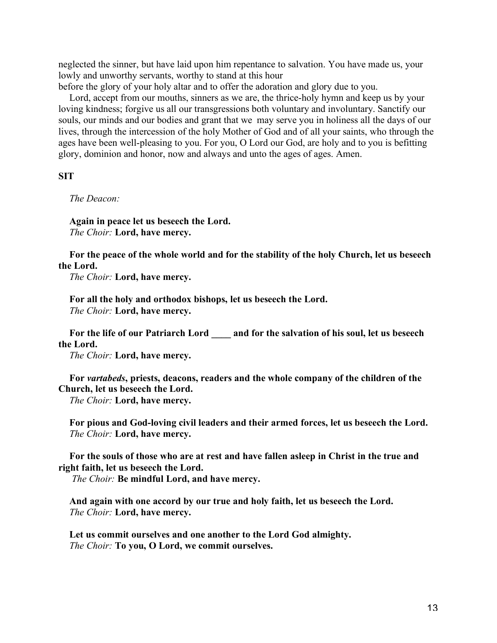neglected the sinner, but have laid upon him repentance to salvation. You have made us, your lowly and unworthy servants, worthy to stand at this hour

before the glory of your holy altar and to offer the adoration and glory due to you.

Lord, accept from our mouths, sinners as we are, the thrice-holy hymn and keep us by your loving kindness; forgive us all our transgressions both voluntary and involuntary. Sanctify our souls, our minds and our bodies and grant that we may serve you in holiness all the days of our lives, through the intercession of the holy Mother of God and of all your saints, who through the ages have been well-pleasing to you. For you, O Lord our God, are holy and to you is befitting glory, dominion and honor, now and always and unto the ages of ages. Amen.

## **SIT**

*The Deacon:*

**Again in peace let us beseech the Lord.** *The Choir:* **Lord, have mercy.**

**For the peace of the whole world and for the stability of the holy Church, let us beseech the Lord.**

*The Choir:* **Lord, have mercy.**

**For all the holy and orthodox bishops, let us beseech the Lord.** *The Choir:* **Lord, have mercy.**

**For the life of our Patriarch Lord \_\_\_\_ and for the salvation of his soul, let us beseech the Lord.**

*The Choir:* **Lord, have mercy.**

**For** *vartabeds***, priests, deacons, readers and the whole company of the children of the Church, let us beseech the Lord.**

*The Choir:* **Lord, have mercy.**

**For pious and God-loving civil leaders and their armed forces, let us beseech the Lord.** *The Choir:* **Lord, have mercy.**

**For the souls of those who are at rest and have fallen asleep in Christ in the true and right faith, let us beseech the Lord.**

 *The Choir:* **Be mindful Lord, and have mercy.**

**And again with one accord by our true and holy faith, let us beseech the Lord.** *The Choir:* **Lord, have mercy.**

**Let us commit ourselves and one another to the Lord God almighty.** *The Choir:* **To you, O Lord, we commit ourselves.**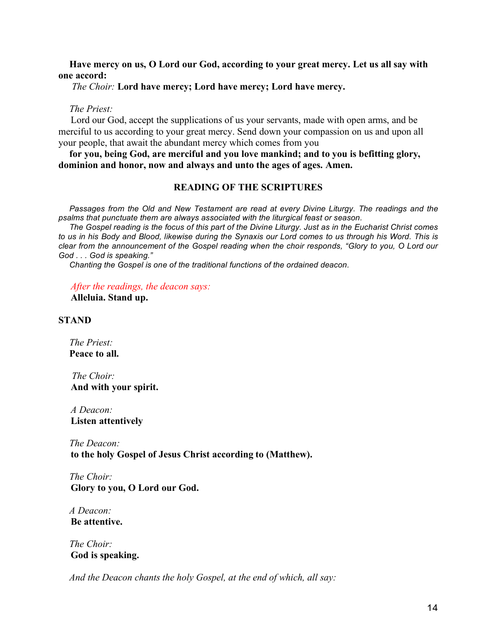## **Have mercy on us, O Lord our God, according to your great mercy. Let us all say with one accord:**

## *The Choir:* **Lord have mercy; Lord have mercy; Lord have mercy.**

## *The Priest:*

 Lord our God, accept the supplications of us your servants, made with open arms, and be merciful to us according to your great mercy. Send down your compassion on us and upon all your people, that await the abundant mercy which comes from you

**for you, being God, are merciful and you love mankind; and to you is befitting glory, dominion and honor, now and always and unto the ages of ages. Amen.**

# **READING OF THE SCRIPTURES**

*Passages from the Old and New Testament are read at every Divine Liturgy. The readings and the psalms that punctuate them are always associated with the liturgical feast or season.*

*The Gospel reading is the focus of this part of the Divine Liturgy. Just as in the Eucharist Christ comes to us in his Body and Blood, likewise during the Synaxis our Lord comes to us through his Word. This is clear from the announcement of the Gospel reading when the choir responds, "Glory to you, O Lord our God . . . God is speaking."*

*Chanting the Gospel is one of the traditional functions of the ordained deacon.*

 *After the readings, the deacon says:*

 **Alleluia. Stand up.**

### **STAND**

*The Priest:* **Peace to all.**

 *The Choir:*  **And with your spirit.**

 *A Deacon:*  **Listen attentively**

*The Deacon:*  **to the holy Gospel of Jesus Christ according to (Matthew).**

*The Choir:*  **Glory to you, O Lord our God.**

*A Deacon:*  **Be attentive.**

*The Choir:*  **God is speaking.**

*And the Deacon chants the holy Gospel, at the end of which, all say:*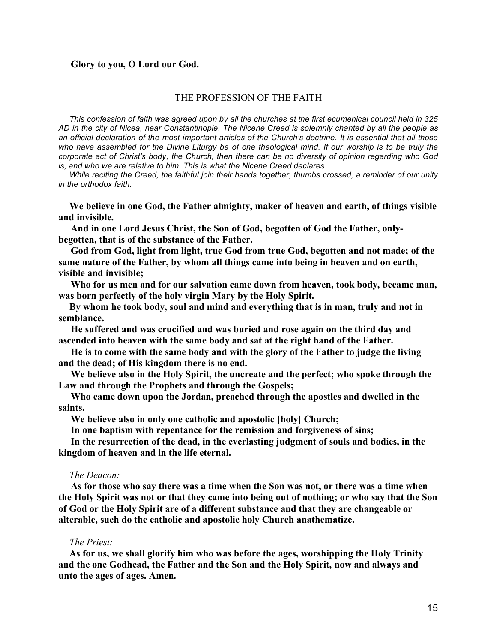## **Glory to you, O Lord our God.**

### THE PROFESSION OF THE FAITH

*This confession of faith was agreed upon by all the churches at the first ecumenical council held in 325 AD in the city of Nicea, near Constantinople. The Nicene Creed is solemnly chanted by all the people as an official declaration of the most important articles of the Church's doctrine. It is essential that all those*  who have assembled for the Divine Liturgy be of one theological mind. If our worship is to be truly the *corporate act of Christ's body, the Church, then there can be no diversity of opinion regarding who God is, and who we are relative to him. This is what the Nicene Creed declares.*

*While reciting the Creed, the faithful join their hands together, thumbs crossed, a reminder of our unity in the orthodox faith.*

**We believe in one God, the Father almighty, maker of heaven and earth, of things visible and invisible.**

 **And in one Lord Jesus Christ, the Son of God, begotten of God the Father, onlybegotten, that is of the substance of the Father.**

 **God from God, light from light, true God from true God, begotten and not made; of the same nature of the Father, by whom all things came into being in heaven and on earth, visible and invisible;**

 **Who for us men and for our salvation came down from heaven, took body, became man, was born perfectly of the holy virgin Mary by the Holy Spirit.**

**By whom he took body, soul and mind and everything that is in man, truly and not in semblance.**

 **He suffered and was crucified and was buried and rose again on the third day and ascended into heaven with the same body and sat at the right hand of the Father.**

 **He is to come with the same body and with the glory of the Father to judge the living and the dead; of His kingdom there is no end.**

 **We believe also in the Holy Spirit, the uncreate and the perfect; who spoke through the Law and through the Prophets and through the Gospels;**

 **Who came down upon the Jordan, preached through the apostles and dwelled in the saints.**

 **We believe also in only one catholic and apostolic [holy] Church;**

 **In one baptism with repentance for the remission and forgiveness of sins;**

 **In the resurrection of the dead, in the everlasting judgment of souls and bodies, in the kingdom of heaven and in the life eternal.**

#### *The Deacon:*

 **As for those who say there was a time when the Son was not, or there was a time when the Holy Spirit was not or that they came into being out of nothing; or who say that the Son of God or the Holy Spirit are of a different substance and that they are changeable or alterable, such do the catholic and apostolic holy Church anathematize.**

#### *The Priest:*

**As for us, we shall glorify him who was before the ages, worshipping the Holy Trinity and the one Godhead, the Father and the Son and the Holy Spirit, now and always and unto the ages of ages. Amen.**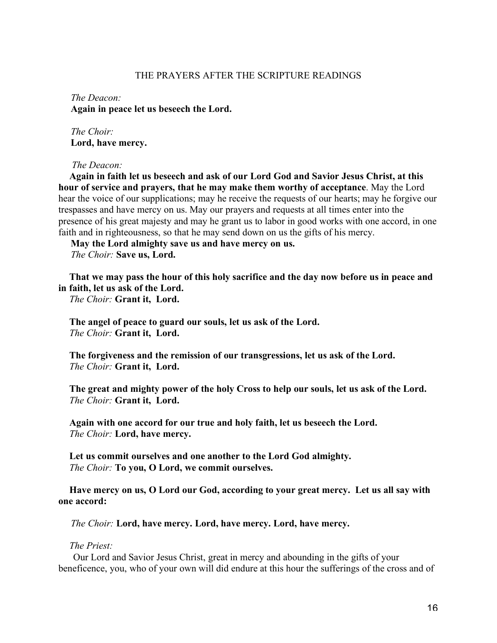## THE PRAYERS AFTER THE SCRIPTURE READINGS

 *The Deacon:*  **Again in peace let us beseech the Lord.**

 *The Choir:*  **Lord, have mercy.**

*The Deacon:*

**Again in faith let us beseech and ask of our Lord God and Savior Jesus Christ, at this hour of service and prayers, that he may make them worthy of acceptance**. May the Lord hear the voice of our supplications; may he receive the requests of our hearts; may he forgive our trespasses and have mercy on us. May our prayers and requests at all times enter into the presence of his great majesty and may he grant us to labor in good works with one accord, in one faith and in righteousness, so that he may send down on us the gifts of his mercy.

 **May the Lord almighty save us and have mercy on us.**  *The Choir:* **Save us, Lord.**

**That we may pass the hour of this holy sacrifice and the day now before us in peace and in faith, let us ask of the Lord.**

*The Choir:* **Grant it, Lord.**

**The angel of peace to guard our souls, let us ask of the Lord.** *The Choir:* **Grant it, Lord.**

**The forgiveness and the remission of our transgressions, let us ask of the Lord.** *The Choir:* **Grant it, Lord.**

**The great and mighty power of the holy Cross to help our souls, let us ask of the Lord.** *The Choir:* **Grant it, Lord.**

**Again with one accord for our true and holy faith, let us beseech the Lord.** *The Choir:* **Lord, have mercy.**

**Let us commit ourselves and one another to the Lord God almighty.** *The Choir:* **To you, O Lord, we commit ourselves.**

**Have mercy on us, O Lord our God, according to your great mercy. Let us all say with one accord:**

 *The Choir:* **Lord, have mercy. Lord, have mercy. Lord, have mercy.**

## *The Priest:*

 Our Lord and Savior Jesus Christ, great in mercy and abounding in the gifts of your beneficence, you, who of your own will did endure at this hour the sufferings of the cross and of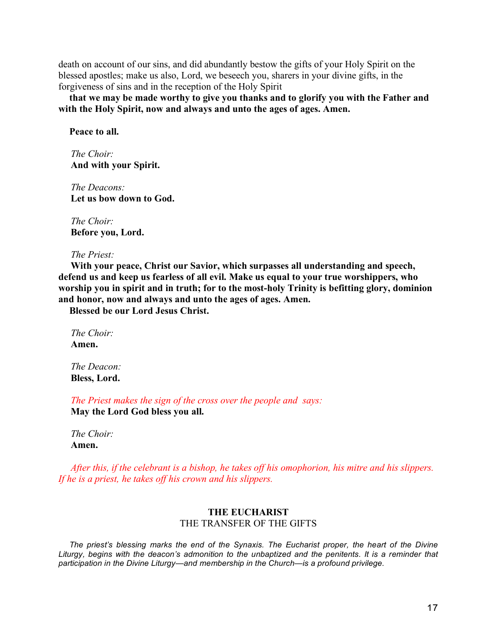death on account of our sins, and did abundantly bestow the gifts of your Holy Spirit on the blessed apostles; make us also, Lord, we beseech you, sharers in your divine gifts, in the forgiveness of sins and in the reception of the Holy Spirit

**that we may be made worthy to give you thanks and to glorify you with the Father and with the Holy Spirit, now and always and unto the ages of ages. Amen.**

**Peace to all.**

 *The Choir:*  **And with your Spirit.**

 *The Deacons:*  **Let us bow down to God.**

 *The Choir:*  **Before you, Lord.**

 *The Priest:*

 **With your peace, Christ our Savior, which surpasses all understanding and speech, defend us and keep us fearless of all evil. Make us equal to your true worshippers, who worship you in spirit and in truth; for to the most-holy Trinity is befitting glory, dominion and honor, now and always and unto the ages of ages. Amen.**

**Blessed be our Lord Jesus Christ.**

 *The Choir:*  **Amen.**

 *The Deacon:*  **Bless, Lord.**

 *The Priest makes the sign of the cross over the people and says:*  **May the Lord God bless you all.**

 *The Choir:*  **Amen.**

 *After this, if the celebrant is a bishop, he takes off his omophorion, his mitre and his slippers. If he is a priest, he takes off his crown and his slippers.*

## **THE EUCHARIST** THE TRANSFER OF THE GIFTS

*The priest's blessing marks the end of the Synaxis. The Eucharist proper, the heart of the Divine*  Liturgy, begins with the deacon's admonition to the unbaptized and the penitents. It is a reminder that *participation in the Divine Liturgy—and membership in the Church—is a profound privilege.*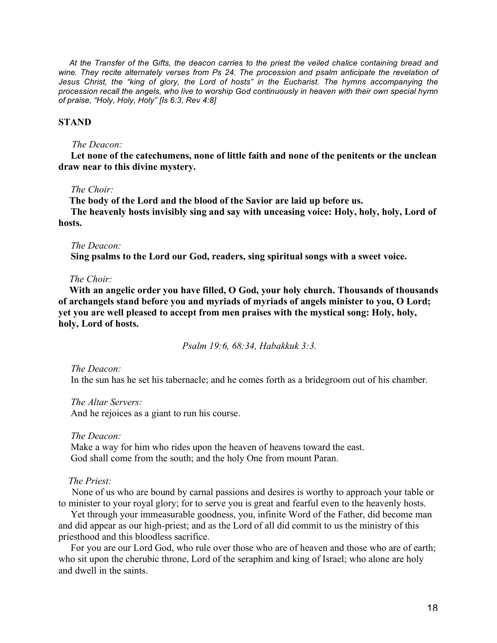*At the Transfer of the Gifts, the deacon carries to the priest the veiled chalice containing bread and*  wine. They recite alternately verses from Ps 24. The procession and psalm anticipate the revelation of *Jesus Christ, the "king of glory, the Lord of hosts" in the Eucharist. The hymns accompanying the procession recall the angels, who live to worship God continuously in heaven with their own special hymn of praise, "Holy, Holy, Holy" [Is 6:3, Rev 4:8]*

## **STAND**

## *The Deacon:*

 **Let none of the catechumens, none of little faith and none of the penitents or the unclean draw near to this divine mystery.**

### *The Choir:*

**The body of the Lord and the blood of the Savior are laid up before us. The heavenly hosts invisibly sing and say with unceasing voice: Holy, holy, holy, Lord of hosts.**

### *The Deacon:*

 **Sing psalms to the Lord our God, readers, sing spiritual songs with a sweet voice.**

### *The Choir:*

**With an angelic order you have filled, O God, your holy church. Thousands of thousands of archangels stand before you and myriads of myriads of angels minister to you, O Lord; yet you are well pleased to accept from men praises with the mystical song: Holy, holy, holy, Lord of hosts.**

 *Psalm 19:6, 68:34, Habakkuk 3:3.*

 *The Deacon:*

In the sun has he set his tabernacle; and he comes forth as a bridegroom out of his chamber.

 *The Altar Servers:*

And he rejoices as a giant to run his course.

#### *The Deacon:*

 Make a way for him who rides upon the heaven of heavens toward the east. God shall come from the south; and the holy One from mount Paran.

## *The Priest:*

 None of us who are bound by carnal passions and desires is worthy to approach your table or to minister to your royal glory; for to serve you is great and fearful even to the heavenly hosts.

 Yet through your immeasurable goodness, you, infinite Word of the Father, did become man and did appear as our high-priest; and as the Lord of all did commit to us the ministry of this priesthood and this bloodless sacrifice.

 For you are our Lord God, who rule over those who are of heaven and those who are of earth; who sit upon the cherubic throne, Lord of the seraphim and king of Israel; who alone are holy and dwell in the saints.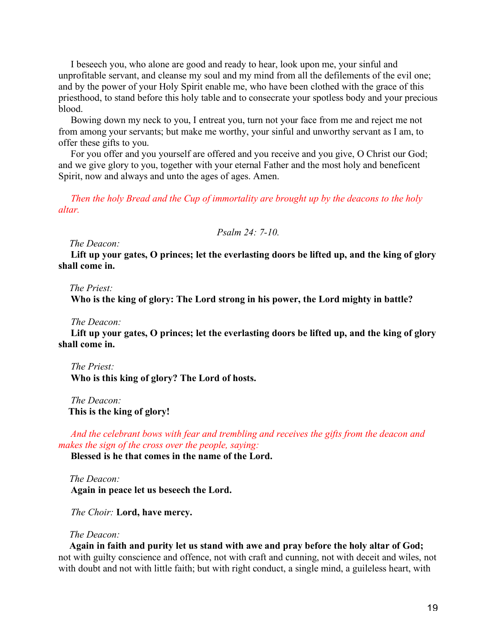I beseech you, who alone are good and ready to hear, look upon me, your sinful and unprofitable servant, and cleanse my soul and my mind from all the defilements of the evil one; and by the power of your Holy Spirit enable me, who have been clothed with the grace of this priesthood, to stand before this holy table and to consecrate your spotless body and your precious blood.

 Bowing down my neck to you, I entreat you, turn not your face from me and reject me not from among your servants; but make me worthy, your sinful and unworthy servant as I am, to offer these gifts to you.

 For you offer and you yourself are offered and you receive and you give, O Christ our God; and we give glory to you, together with your eternal Father and the most holy and beneficent Spirit, now and always and unto the ages of ages. Amen.

 *Then the holy Bread and the Cup of immortality are brought up by the deacons to the holy altar.*

*Psalm 24: 7-10.*

*The Deacon:*

 **Lift up your gates, O princes; let the everlasting doors be lifted up, and the king of glory shall come in.**

*The Priest:*

 **Who is the king of glory: The Lord strong in his power, the Lord mighty in battle?**

 *The Deacon:*

 **Lift up your gates, O princes; let the everlasting doors be lifted up, and the king of glory shall come in.**

 *The Priest:*  **Who is this king of glory? The Lord of hosts.**

 *The Deacon:*  **This is the king of glory!**

 *And the celebrant bows with fear and trembling and receives the gifts from the deacon and makes the sign of the cross over the people, saying:*

 **Blessed is he that comes in the name of the Lord.**

*The Deacon:*  **Again in peace let us beseech the Lord.**

 *The Choir:* **Lord, have mercy.**

## *The Deacon:*

**Again in faith and purity let us stand with awe and pray before the holy altar of God;**  not with guilty conscience and offence, not with craft and cunning, not with deceit and wiles, not with doubt and not with little faith; but with right conduct, a single mind, a guileless heart, with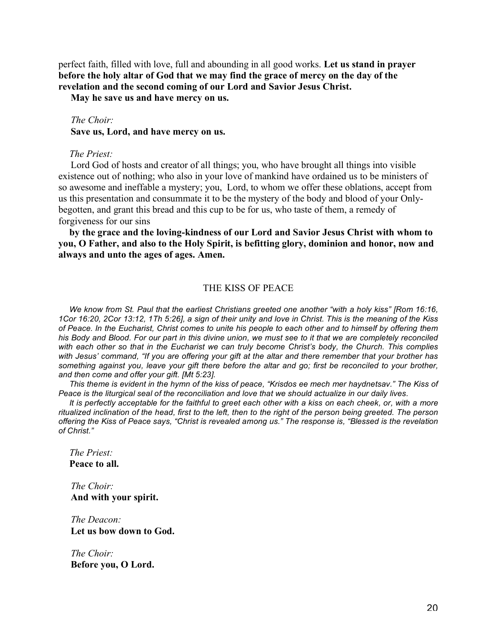perfect faith, filled with love, full and abounding in all good works. **Let us stand in prayer before the holy altar of God that we may find the grace of mercy on the day of the revelation and the second coming of our Lord and Savior Jesus Christ.**

 **May he save us and have mercy on us.**

## *The Choir:*

 **Save us, Lord, and have mercy on us.**

### *The Priest:*

 Lord God of hosts and creator of all things; you, who have brought all things into visible existence out of nothing; who also in your love of mankind have ordained us to be ministers of so awesome and ineffable a mystery; you, Lord, to whom we offer these oblations, accept from us this presentation and consummate it to be the mystery of the body and blood of your Onlybegotten, and grant this bread and this cup to be for us, who taste of them, a remedy of forgiveness for our sins

**by the grace and the loving-kindness of our Lord and Savior Jesus Christ with whom to you, O Father, and also to the Holy Spirit, is befitting glory, dominion and honor, now and always and unto the ages of ages. Amen.**

### THE KISS OF PEACE

*We know from St. Paul that the earliest Christians greeted one another "with a holy kiss" [Rom 16:16, 1Cor 16:20, 2Cor 13:12, 1Th 5:26], a sign of their unity and love in Christ. This is the meaning of the Kiss of Peace. In the Eucharist, Christ comes to unite his people to each other and to himself by offering them his Body and Blood. For our part in this divine union, we must see to it that we are completely reconciled with each other so that in the Eucharist we can truly become Christ's body, the Church. This complies with Jesus' command, "If you are offering your gift at the altar and there remember that your brother has something against you, leave your gift there before the altar and go; first be reconciled to your brother, and then come and offer your gift. [Mt 5:23].*

*This theme is evident in the hymn of the kiss of peace, "Krisdos ee mech mer haydnetsav." The Kiss of Peace is the liturgical seal of the reconciliation and love that we should actualize in our daily lives.*

*It is perfectly acceptable for the faithful to greet each other with a kiss on each cheek, or, with a more ritualized inclination of the head, first to the left, then to the right of the person being greeted. The person offering the Kiss of Peace says, "Christ is revealed among us." The response is, "Blessed is the revelation of Christ."*

*The Priest:* **Peace to all.**

 *The Choir:*  **And with your spirit.**

 *The Deacon:*  **Let us bow down to God.**

 *The Choir:*  **Before you, O Lord.**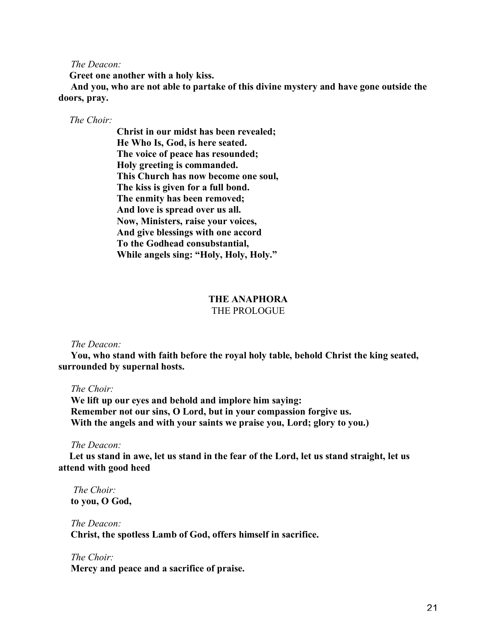*The Deacon:*

**Greet one another with a holy kiss.**

 **And you, who are not able to partake of this divine mystery and have gone outside the doors, pray.**

## *The Choir:*

**Christ in our midst has been revealed; He Who Is, God, is here seated. The voice of peace has resounded; Holy greeting is commanded. This Church has now become one soul, The kiss is given for a full bond. The enmity has been removed; And love is spread over us all. Now, Ministers, raise your voices, And give blessings with one accord To the Godhead consubstantial, While angels sing: "Holy, Holy, Holy."**

### **THE ANAPHORA** THE PROLOGUE

## *The Deacon:*

 **You, who stand with faith before the royal holy table, behold Christ the king seated, surrounded by supernal hosts.**

## *The Choir:*

 **We lift up our eyes and behold and implore him saying: Remember not our sins, O Lord, but in your compassion forgive us. With the angels and with your saints we praise you, Lord; glory to you.)**

#### *The Deacon:*

**Let us stand in awe, let us stand in the fear of the Lord, let us stand straight, let us attend with good heed**

 *The Choir:*  **to you, O God,**

 *The Deacon:*  **Christ, the spotless Lamb of God, offers himself in sacrifice.**

 *The Choir:*  **Mercy and peace and a sacrifice of praise.**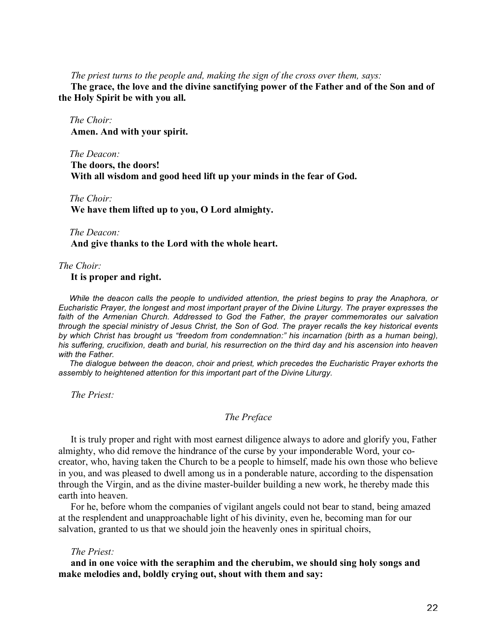## *The priest turns to the people and, making the sign of the cross over them, says:*

 **The grace, the love and the divine sanctifying power of the Father and of the Son and of the Holy Spirit be with you all.**

*The Choir:*  **Amen. And with your spirit.**

*The Deacon:*  **The doors, the doors! With all wisdom and good heed lift up your minds in the fear of God.**

### *The Choir:*

 **We have them lifted up to you, O Lord almighty.**

## *The Deacon:*  **And give thanks to the Lord with the whole heart.**

### *The Choir:*

 **It is proper and right.**

*While the deacon calls the people to undivided attention, the priest begins to pray the Anaphora, or Eucharistic Prayer, the longest and most important prayer of the Divine Liturgy. The prayer expresses the faith of the Armenian Church. Addressed to God the Father, the prayer commemorates our salvation through the special ministry of Jesus Christ, the Son of God. The prayer recalls the key historical events by which Christ has brought us "freedom from condemnation:" his incarnation (birth as a human being), his suffering, crucifixion, death and burial, his resurrection on the third day and his ascension into heaven with the Father.*

*The dialogue between the deacon, choir and priest, which precedes the Eucharistic Prayer exhorts the assembly to heightened attention for this important part of the Divine Liturgy.*

 *The Priest:*

# *The Preface*

 It is truly proper and right with most earnest diligence always to adore and glorify you, Father almighty, who did remove the hindrance of the curse by your imponderable Word, your cocreator, who, having taken the Church to be a people to himself, made his own those who believe in you, and was pleased to dwell among us in a ponderable nature, according to the dispensation through the Virgin, and as the divine master-builder building a new work, he thereby made this earth into heaven.

 For he, before whom the companies of vigilant angels could not bear to stand, being amazed at the resplendent and unapproachable light of his divinity, even he, becoming man for our salvation, granted to us that we should join the heavenly ones in spiritual choirs,

## *The Priest:*

 **and in one voice with the seraphim and the cherubim, we should sing holy songs and make melodies and, boldly crying out, shout with them and say:**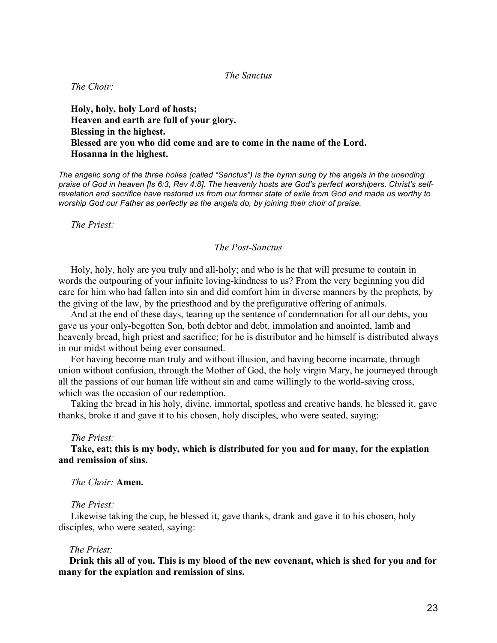*The Sanctus*

 *The Choir:*

 **Holy, holy, holy Lord of hosts; Heaven and earth are full of your glory. Blessing in the highest. Blessed are you who did come and are to come in the name of the Lord. Hosanna in the highest.**

*The angelic song of the three holies (called "Sanctus") is the hymn sung by the angels in the unending praise of God in heaven [Is 6:3, Rev 4:8]. The heavenly hosts are God's perfect worshipers. Christ's selfrevelation and sacrifice have restored us from our former state of exile from God and made us worthy to worship God our Father as perfectly as the angels do, by joining their choir of praise.*

 *The Priest:*

## *The Post-Sanctus*

 Holy, holy, holy are you truly and all-holy; and who is he that will presume to contain in words the outpouring of your infinite loving-kindness to us? From the very beginning you did care for him who had fallen into sin and did comfort him in diverse manners by the prophets, by the giving of the law, by the priesthood and by the prefigurative offering of animals.

 And at the end of these days, tearing up the sentence of condemnation for all our debts, you gave us your only-begotten Son, both debtor and debt, immolation and anointed, lamb and heavenly bread, high priest and sacrifice; for he is distributor and he himself is distributed always in our midst without being ever consumed.

 For having become man truly and without illusion, and having become incarnate, through union without confusion, through the Mother of God, the holy virgin Mary, he journeyed through all the passions of our human life without sin and came willingly to the world-saving cross, which was the occasion of our redemption.

 Taking the bread in his holy, divine, immortal, spotless and creative hands, he blessed it, gave thanks, broke it and gave it to his chosen, holy disciples, who were seated, saying:

#### *The Priest:*

 **Take, eat; this is my body, which is distributed for you and for many, for the expiation and remission of sins.**

 *The Choir:* **Amen.**

## *The Priest:*

 Likewise taking the cup, he blessed it, gave thanks, drank and gave it to his chosen, holy disciples, who were seated, saying:

### *The Priest:*

**Drink this all of you. This is my blood of the new covenant, which is shed for you and for many for the expiation and remission of sins.**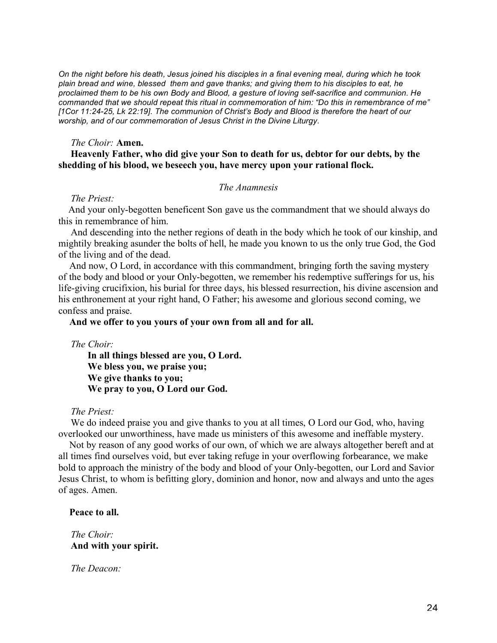*On the night before his death, Jesus joined his disciples in a final evening meal, during which he took plain bread and wine, blessed them and gave thanks; and giving them to his disciples to eat, he proclaimed them to be his own Body and Blood, a gesture of loving self-sacrifice and communion. He commanded that we should repeat this ritual in commemoration of him: "Do this in remembrance of me" [1Cor 11:24-25, Lk 22:19]. The communion of Christ's Body and Blood is therefore the heart of our worship, and of our commemoration of Jesus Christ in the Divine Liturgy.*

### *The Choir:* **Amen.**

## **Heavenly Father, who did give your Son to death for us, debtor for our debts, by the shedding of his blood, we beseech you, have mercy upon your rational flock.**

## *The Anamnesis*

### *The Priest:*

 And your only-begotten beneficent Son gave us the commandment that we should always do this in remembrance of him.

 And descending into the nether regions of death in the body which he took of our kinship, and mightily breaking asunder the bolts of hell, he made you known to us the only true God, the God of the living and of the dead.

And now, O Lord, in accordance with this commandment, bringing forth the saving mystery of the body and blood or your Only-begotten, we remember his redemptive sufferings for us, his life-giving crucifixion, his burial for three days, his blessed resurrection, his divine ascension and his enthronement at your right hand, O Father; his awesome and glorious second coming, we confess and praise.

## **And we offer to you yours of your own from all and for all.**

 *The Choir:*

 **In all things blessed are you, O Lord. We bless you, we praise you; We give thanks to you; We pray to you, O Lord our God.**

### *The Priest:*

We do indeed praise you and give thanks to you at all times, O Lord our God, who, having overlooked our unworthiness, have made us ministers of this awesome and ineffable mystery.

Not by reason of any good works of our own, of which we are always altogether bereft and at all times find ourselves void, but ever taking refuge in your overflowing forbearance, we make bold to approach the ministry of the body and blood of your Only-begotten, our Lord and Savior Jesus Christ, to whom is befitting glory, dominion and honor, now and always and unto the ages of ages. Amen.

## **Peace to all.**

 *The Choir:*  **And with your spirit.**

 *The Deacon:*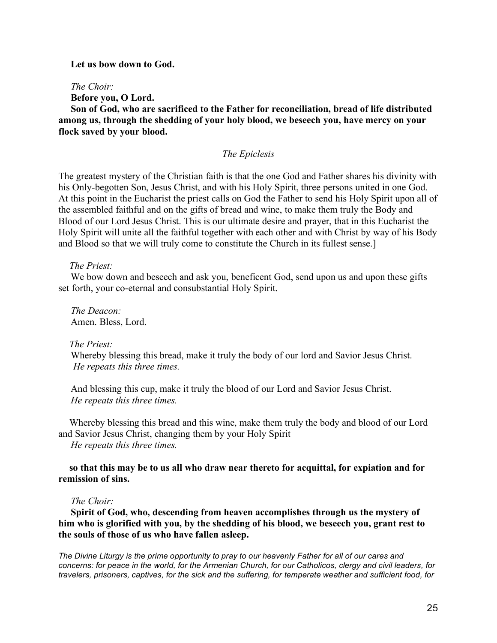### **Let us bow down to God.**

 *The Choir:*

 **Before you, O Lord.**

 **Son of God, who are sacrificed to the Father for reconciliation, bread of life distributed among us, through the shedding of your holy blood, we beseech you, have mercy on your flock saved by your blood.**

## *The Epiclesis*

The greatest mystery of the Christian faith is that the one God and Father shares his divinity with his Only-begotten Son, Jesus Christ, and with his Holy Spirit, three persons united in one God. At this point in the Eucharist the priest calls on God the Father to send his Holy Spirit upon all of the assembled faithful and on the gifts of bread and wine, to make them truly the Body and Blood of our Lord Jesus Christ. This is our ultimate desire and prayer, that in this Eucharist the Holy Spirit will unite all the faithful together with each other and with Christ by way of his Body and Blood so that we will truly come to constitute the Church in its fullest sense.]

### *The Priest:*

 We bow down and beseech and ask you, beneficent God, send upon us and upon these gifts set forth, your co-eternal and consubstantial Holy Spirit.

 *The Deacon:* Amen. Bless, Lord.

### *The Priest:*

 Whereby blessing this bread, make it truly the body of our lord and Savior Jesus Christ.  *He repeats this three times.*

 And blessing this cup, make it truly the blood of our Lord and Savior Jesus Christ.  *He repeats this three times.*

Whereby blessing this bread and this wine, make them truly the body and blood of our Lord and Savior Jesus Christ, changing them by your Holy Spirit

 *He repeats this three times.*

## **so that this may be to us all who draw near thereto for acquittal, for expiation and for remission of sins.**

## *The Choir:*

 **Spirit of God, who, descending from heaven accomplishes through us the mystery of him who is glorified with you, by the shedding of his blood, we beseech you, grant rest to the souls of those of us who have fallen asleep.**

*The Divine Liturgy is the prime opportunity to pray to our heavenly Father for all of our cares and concerns: for peace in the world, for the Armenian Church, for our Catholicos, clergy and civil leaders, for travelers, prisoners, captives, for the sick and the suffering, for temperate weather and sufficient food, for*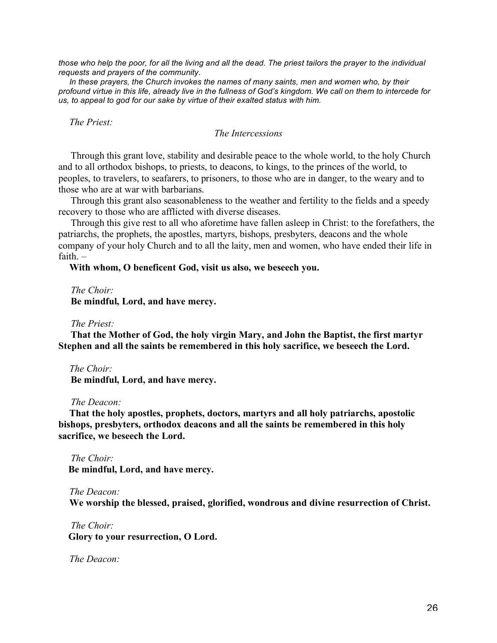*those who help the poor, for all the living and all the dead. The priest tailors the prayer to the individual requests and prayers of the community.*

In these prayers, the Church invokes the names of many saints, men and women who, by their *profound virtue in this life, already live in the fullness of God's kingdom. We call on them to intercede for us, to appeal to god for our sake by virtue of their exalted status with him.*

*The Priest:*

*The Intercessions*

 Through this grant love, stability and desirable peace to the whole world, to the holy Church and to all orthodox bishops, to priests, to deacons, to kings, to the princes of the world, to peoples, to travelers, to seafarers, to prisoners, to those who are in danger, to the weary and to those who are at war with barbarians.

 Through this grant also seasonableness to the weather and fertility to the fields and a speedy recovery to those who are afflicted with diverse diseases.

 Through this give rest to all who aforetime have fallen asleep in Christ: to the forefathers, the patriarchs, the prophets, the apostles, martyrs, bishops, presbyters, deacons and the whole company of your holy Church and to all the laity, men and women, who have ended their life in faith. –

**With whom, O beneficent God, visit us also, we beseech you.** 

 *The Choir:*  **Be mindful, Lord, and have mercy.**

 *The Priest:*

 **That the Mother of God, the holy virgin Mary, and John the Baptist, the first martyr Stephen and all the saints be remembered in this holy sacrifice, we beseech the Lord.**

*The Choir:*

 **Be mindful, Lord, and have mercy.**

 *The Deacon:*

**That the holy apostles, prophets, doctors, martyrs and all holy patriarchs, apostolic bishops, presbyters, orthodox deacons and all the saints be remembered in this holy sacrifice, we beseech the Lord.**

 *The Choir:*  **Be mindful, Lord, and have mercy.**

*The Deacon:* **We worship the blessed, praised, glorified, wondrous and divine resurrection of Christ.**

 *The Choir:*  **Glory to your resurrection, O Lord.**

*The Deacon:*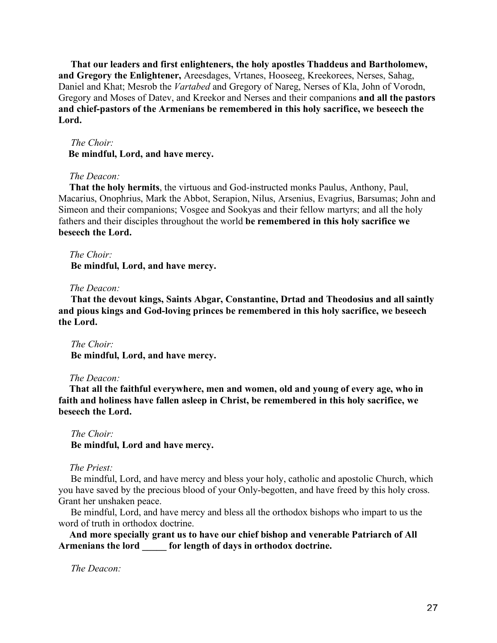**That our leaders and first enlighteners, the holy apostles Thaddeus and Bartholomew, and Gregory the Enlightener,** Areesdages, Vrtanes, Hooseeg, Kreekorees, Nerses, Sahag, Daniel and Khat; Mesrob the *Vartabed* and Gregory of Nareg, Nerses of Kla, John of Vorodn, Gregory and Moses of Datev, and Kreekor and Nerses and their companions **and all the pastors and chief-pastors of the Armenians be remembered in this holy sacrifice, we beseech the Lord.**

### *The Choir:*

 **Be mindful, Lord, and have mercy.**

## *The Deacon:*

**That the holy hermits**, the virtuous and God-instructed monks Paulus, Anthony, Paul, Macarius, Onophrius, Mark the Abbot, Serapion, Nilus, Arsenius, Evagrius, Barsumas; John and Simeon and their companions; Vosgee and Sookyas and their fellow martyrs; and all the holy fathers and their disciples throughout the world **be remembered in this holy sacrifice we beseech the Lord.**

*The Choir:*

 **Be mindful, Lord, and have mercy.**

## *The Deacon:*

 **That the devout kings, Saints Abgar, Constantine, Drtad and Theodosius and all saintly and pious kings and God-loving princes be remembered in this holy sacrifice, we beseech the Lord.**

 *The Choir:*  **Be mindful, Lord, and have mercy.**

## *The Deacon:*

**That all the faithful everywhere, men and women, old and young of every age, who in faith and holiness have fallen asleep in Christ, be remembered in this holy sacrifice, we beseech the Lord.**

 *The Choir:*  **Be mindful, Lord and have mercy.**

*The Priest:*

 Be mindful, Lord, and have mercy and bless your holy, catholic and apostolic Church, which you have saved by the precious blood of your Only-begotten, and have freed by this holy cross. Grant her unshaken peace.

 Be mindful, Lord, and have mercy and bless all the orthodox bishops who impart to us the word of truth in orthodox doctrine.

**And more specially grant us to have our chief bishop and venerable Patriarch of All Armenians the lord \_\_\_\_\_ for length of days in orthodox doctrine.**

 *The Deacon:*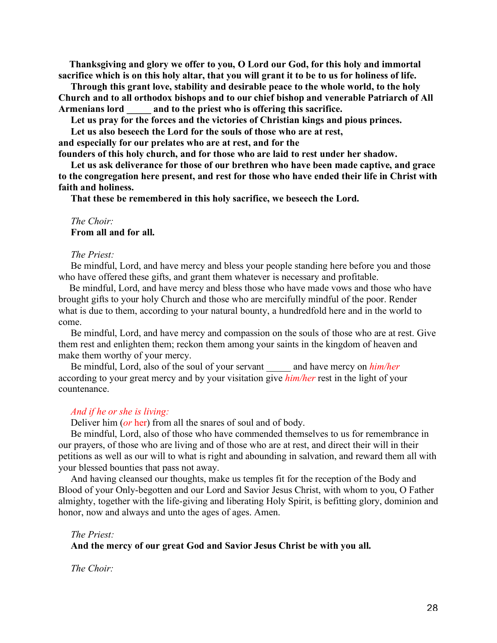**Thanksgiving and glory we offer to you, O Lord our God, for this holy and immortal sacrifice which is on this holy altar, that you will grant it to be to us for holiness of life.**

 **Through this grant love, stability and desirable peace to the whole world, to the holy Church and to all orthodox bishops and to our chief bishop and venerable Patriarch of All Armenians lord \_\_\_\_\_ and to the priest who is offering this sacrifice.**

 **Let us pray for the forces and the victories of Christian kings and pious princes.**

 **Let us also beseech the Lord for the souls of those who are at rest,** 

**and especially for our prelates who are at rest, and for the**

**founders of this holy church, and for those who are laid to rest under her shadow.**

 **Let us ask deliverance for those of our brethren who have been made captive, and grace to the congregation here present, and rest for those who have ended their life in Christ with faith and holiness.**

 **That these be remembered in this holy sacrifice, we beseech the Lord.**

## *The Choir:*  **From all and for all.**

# *The Priest:*

 Be mindful, Lord, and have mercy and bless your people standing here before you and those who have offered these gifts, and grant them whatever is necessary and profitable.

Be mindful, Lord, and have mercy and bless those who have made vows and those who have brought gifts to your holy Church and those who are mercifully mindful of the poor. Render what is due to them, according to your natural bounty, a hundredfold here and in the world to come.

 Be mindful, Lord, and have mercy and compassion on the souls of those who are at rest. Give them rest and enlighten them; reckon them among your saints in the kingdom of heaven and make them worthy of your mercy.

Be mindful, Lord, also of the soul of your servant and have mercy on *him/her* according to your great mercy and by your visitation give *him/her* rest in the light of your countenance.

## *And if he or she is living:*

Deliver him (*or* her) from all the snares of soul and of body.

 Be mindful, Lord, also of those who have commended themselves to us for remembrance in our prayers, of those who are living and of those who are at rest, and direct their will in their petitions as well as our will to what is right and abounding in salvation, and reward them all with your blessed bounties that pass not away.

 And having cleansed our thoughts, make us temples fit for the reception of the Body and Blood of your Only-begotten and our Lord and Savior Jesus Christ, with whom to you, O Father almighty, together with the life-giving and liberating Holy Spirit, is befitting glory, dominion and honor, now and always and unto the ages of ages. Amen.

#### *The Priest:*

## **And the mercy of our great God and Savior Jesus Christ be with you all.**

*The Choir:*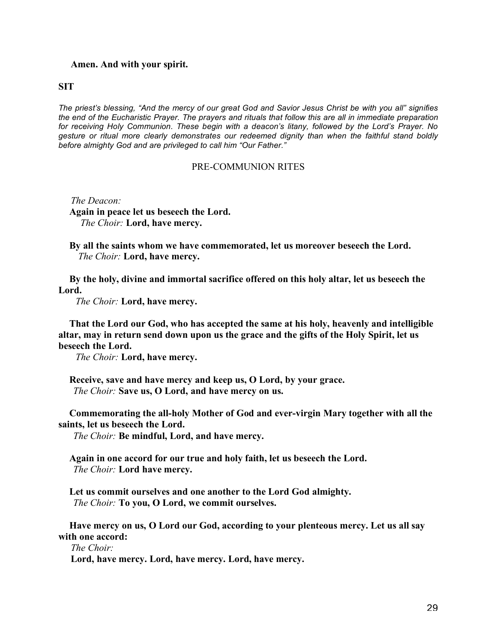## **Amen. And with your spirit.**

**SIT**

*The priest's blessing, "And the mercy of our great God and Savior Jesus Christ be with you all" signifies the end of the Eucharistic Prayer. The prayers and rituals that follow this are all in immediate preparation for receiving Holy Communion. These begin with a deacon's litany, followed by the Lord's Prayer. No gesture or ritual more clearly demonstrates our redeemed dignity than when the faithful stand boldly before almighty God and are privileged to call him "Our Father."*

## PRE-COMMUNION RITES

 *The Deacon:*

**Again in peace let us beseech the Lord.**  *The Choir:* **Lord, have mercy.**

**By all the saints whom we have commemorated, let us moreover beseech the Lord.**  *The Choir:* **Lord, have mercy.**

**By the holy, divine and immortal sacrifice offered on this holy altar, let us beseech the Lord.**

 *The Choir:* **Lord, have mercy.**

**That the Lord our God, who has accepted the same at his holy, heavenly and intelligible altar, may in return send down upon us the grace and the gifts of the Holy Spirit, let us beseech the Lord.**

 *The Choir:* **Lord, have mercy.**

**Receive, save and have mercy and keep us, O Lord, by your grace.**  *The Choir:* **Save us, O Lord, and have mercy on us.**

**Commemorating the all-holy Mother of God and ever-virgin Mary together with all the saints, let us beseech the Lord.**

 *The Choir:* **Be mindful, Lord, and have mercy.**

**Again in one accord for our true and holy faith, let us beseech the Lord.**  *The Choir:* **Lord have mercy.**

**Let us commit ourselves and one another to the Lord God almighty.**  *The Choir:* **To you, O Lord, we commit ourselves.**

**Have mercy on us, O Lord our God, according to your plenteous mercy. Let us all say with one accord:**

 *The Choir:*

 **Lord, have mercy. Lord, have mercy. Lord, have mercy.**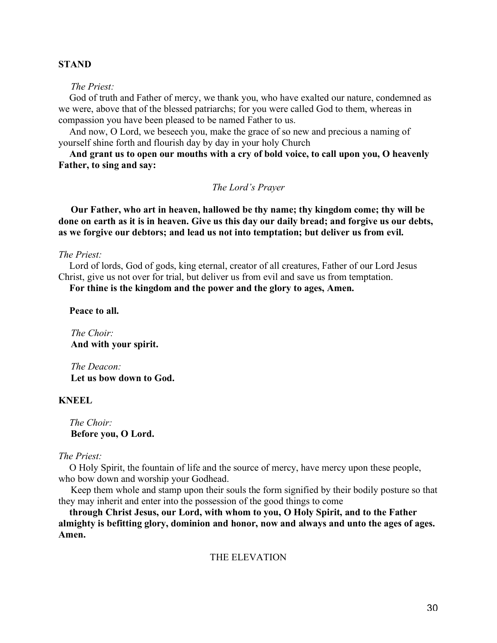## **STAND**

 *The Priest:*

God of truth and Father of mercy, we thank you, who have exalted our nature, condemned as we were, above that of the blessed patriarchs; for you were called God to them, whereas in compassion you have been pleased to be named Father to us.

And now, O Lord, we beseech you, make the grace of so new and precious a naming of yourself shine forth and flourish day by day in your holy Church

**And grant us to open our mouths with a cry of bold voice, to call upon you, O heavenly Father, to sing and say:**

*The Lord's Prayer*

 **Our Father, who art in heaven, hallowed be thy name; thy kingdom come; thy will be done on earth as it is in heaven. Give us this day our daily bread; and forgive us our debts, as we forgive our debtors; and lead us not into temptation; but deliver us from evil.**

# *The Priest:*

Lord of lords, God of gods, king eternal, creator of all creatures, Father of our Lord Jesus Christ, give us not over for trial, but deliver us from evil and save us from temptation.

**For thine is the kingdom and the power and the glory to ages, Amen.**

**Peace to all.**

 *The Choir:*  **And with your spirit.**

 *The Deacon:*  **Let us bow down to God.**

## **KNEEL**

*The Choir:*  **Before you, O Lord.**

## *The Priest:*

O Holy Spirit, the fountain of life and the source of mercy, have mercy upon these people, who bow down and worship your Godhead.

 Keep them whole and stamp upon their souls the form signified by their bodily posture so that they may inherit and enter into the possession of the good things to come

**through Christ Jesus, our Lord, with whom to you, O Holy Spirit, and to the Father almighty is befitting glory, dominion and honor, now and always and unto the ages of ages. Amen.**

## THE ELEVATION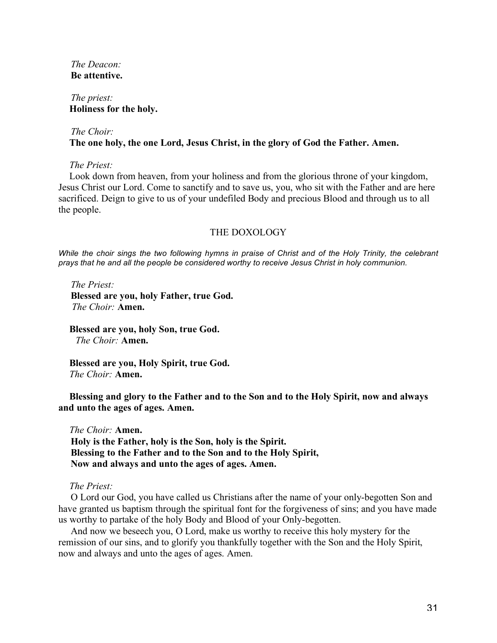*The Deacon:*  **Be attentive.**

 *The priest:* **Holiness for the holy.**

# *The Choir:* **The one holy, the one Lord, Jesus Christ, in the glory of God the Father. Amen.**

*The Priest:*

Look down from heaven, from your holiness and from the glorious throne of your kingdom, Jesus Christ our Lord. Come to sanctify and to save us, you, who sit with the Father and are here sacrificed. Deign to give to us of your undefiled Body and precious Blood and through us to all the people.

## THE DOXOLOGY

*While the choir sings the two following hymns in praise of Christ and of the Holy Trinity, the celebrant prays that he and all the people be considered worthy to receive Jesus Christ in holy communion.*

 *The Priest:*  **Blessed are you, holy Father, true God.**  *The Choir:* **Amen.**

**Blessed are you, holy Son, true God.**  *The Choir:* **Amen.**

**Blessed are you, Holy Spirit, true God.** *The Choir:* **Amen.**

**Blessing and glory to the Father and to the Son and to the Holy Spirit, now and always and unto the ages of ages. Amen.**

*The Choir:* **Amen. Holy is the Father, holy is the Son, holy is the Spirit. Blessing to the Father and to the Son and to the Holy Spirit, Now and always and unto the ages of ages. Amen.**

*The Priest:*

 O Lord our God, you have called us Christians after the name of your only-begotten Son and have granted us baptism through the spiritual font for the forgiveness of sins; and you have made us worthy to partake of the holy Body and Blood of your Only-begotten.

 And now we beseech you, O Lord, make us worthy to receive this holy mystery for the remission of our sins, and to glorify you thankfully together with the Son and the Holy Spirit, now and always and unto the ages of ages. Amen.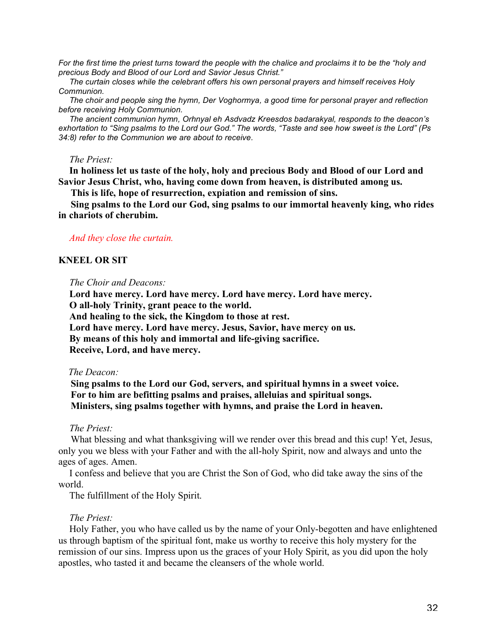*For the first time the priest turns toward the people with the chalice and proclaims it to be the "holy and precious Body and Blood of our Lord and Savior Jesus Christ."*

*The curtain closes while the celebrant offers his own personal prayers and himself receives Holy Communion.*

*The choir and people sing the hymn, Der Voghormya, a good time for personal prayer and reflection before receiving Holy Communion.*

*The ancient communion hymn, Orhnyal eh Asdvadz Kreesdos badarakyal, responds to the deacon's exhortation to "Sing psalms to the Lord our God." The words, "Taste and see how sweet is the Lord" (Ps 34:8) refer to the Communion we are about to receive.*

### *The Priest:*

**In holiness let us taste of the holy, holy and precious Body and Blood of our Lord and Savior Jesus Christ, who, having come down from heaven, is distributed among us.**

 **This is life, hope of resurrection, expiation and remission of sins.**

 **Sing psalms to the Lord our God, sing psalms to our immortal heavenly king, who rides in chariots of cherubim.**

### *And they close the curtain.*

## **KNEEL OR SIT**

*The Choir and Deacons:*

**Lord have mercy. Lord have mercy. Lord have mercy. Lord have mercy. O all-holy Trinity, grant peace to the world. And healing to the sick, the Kingdom to those at rest. Lord have mercy. Lord have mercy. Jesus, Savior, have mercy on us. By means of this holy and immortal and life-giving sacrifice. Receive, Lord, and have mercy.** 

## *The Deacon:*

 **Sing psalms to the Lord our God, servers, and spiritual hymns in a sweet voice. For to him are befitting psalms and praises, alleluias and spiritual songs. Ministers, sing psalms together with hymns, and praise the Lord in heaven.**

### *The Priest:*

What blessing and what thanksgiving will we render over this bread and this cup! Yet, Jesus, only you we bless with your Father and with the all-holy Spirit, now and always and unto the ages of ages. Amen.

I confess and believe that you are Christ the Son of God, who did take away the sins of the world.

The fulfillment of the Holy Spirit.

## *The Priest:*

Holy Father, you who have called us by the name of your Only-begotten and have enlightened us through baptism of the spiritual font, make us worthy to receive this holy mystery for the remission of our sins. Impress upon us the graces of your Holy Spirit, as you did upon the holy apostles, who tasted it and became the cleansers of the whole world.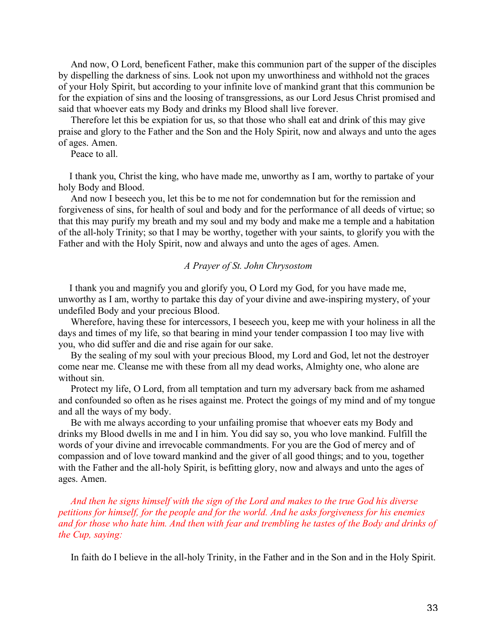And now, O Lord, beneficent Father, make this communion part of the supper of the disciples by dispelling the darkness of sins. Look not upon my unworthiness and withhold not the graces of your Holy Spirit, but according to your infinite love of mankind grant that this communion be for the expiation of sins and the loosing of transgressions, as our Lord Jesus Christ promised and said that whoever eats my Body and drinks my Blood shall live forever.

 Therefore let this be expiation for us, so that those who shall eat and drink of this may give praise and glory to the Father and the Son and the Holy Spirit, now and always and unto the ages of ages. Amen.

Peace to all.

I thank you, Christ the king, who have made me, unworthy as I am, worthy to partake of your holy Body and Blood.

 And now I beseech you, let this be to me not for condemnation but for the remission and forgiveness of sins, for health of soul and body and for the performance of all deeds of virtue; so that this may purify my breath and my soul and my body and make me a temple and a habitation of the all-holy Trinity; so that I may be worthy, together with your saints, to glorify you with the Father and with the Holy Spirit, now and always and unto the ages of ages. Amen.

## *A Prayer of St. John Chrysostom*

I thank you and magnify you and glorify you, O Lord my God, for you have made me, unworthy as I am, worthy to partake this day of your divine and awe-inspiring mystery, of your undefiled Body and your precious Blood.

 Wherefore, having these for intercessors, I beseech you, keep me with your holiness in all the days and times of my life, so that bearing in mind your tender compassion I too may live with you, who did suffer and die and rise again for our sake.

 By the sealing of my soul with your precious Blood, my Lord and God, let not the destroyer come near me. Cleanse me with these from all my dead works, Almighty one, who alone are without sin.

 Protect my life, O Lord, from all temptation and turn my adversary back from me ashamed and confounded so often as he rises against me. Protect the goings of my mind and of my tongue and all the ways of my body.

 Be with me always according to your unfailing promise that whoever eats my Body and drinks my Blood dwells in me and I in him. You did say so, you who love mankind. Fulfill the words of your divine and irrevocable commandments. For you are the God of mercy and of compassion and of love toward mankind and the giver of all good things; and to you, together with the Father and the all-holy Spirit, is befitting glory, now and always and unto the ages of ages. Amen.

 *And then he signs himself with the sign of the Lord and makes to the true God his diverse petitions for himself, for the people and for the world. And he asks forgiveness for his enemies and for those who hate him. And then with fear and trembling he tastes of the Body and drinks of the Cup, saying:*

In faith do I believe in the all-holy Trinity, in the Father and in the Son and in the Holy Spirit.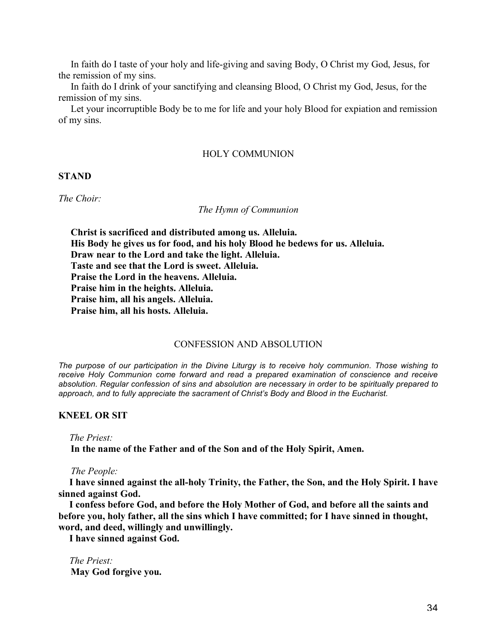In faith do I taste of your holy and life-giving and saving Body, O Christ my God, Jesus, for the remission of my sins.

 In faith do I drink of your sanctifying and cleansing Blood, O Christ my God, Jesus, for the remission of my sins.

 Let your incorruptible Body be to me for life and your holy Blood for expiation and remission of my sins.

## HOLY COMMUNION

## **STAND**

*The Choir:*

#### *The Hymn of Communion*

 **Christ is sacrificed and distributed among us. Alleluia. His Body he gives us for food, and his holy Blood he bedews for us. Alleluia. Draw near to the Lord and take the light. Alleluia. Taste and see that the Lord is sweet. Alleluia. Praise the Lord in the heavens. Alleluia. Praise him in the heights. Alleluia. Praise him, all his angels. Alleluia. Praise him, all his hosts. Alleluia.**

## CONFESSION AND ABSOLUTION

*The purpose of our participation in the Divine Liturgy is to receive holy communion. Those wishing to receive Holy Communion come forward and read a prepared examination of conscience and receive absolution. Regular confession of sins and absolution are necessary in order to be spiritually prepared to approach, and to fully appreciate the sacrament of Christ's Body and Blood in the Eucharist.*

## **KNEEL OR SIT**

*The Priest:*

 **In the name of the Father and of the Son and of the Holy Spirit, Amen.**

 *The People:*

**I have sinned against the all-holy Trinity, the Father, the Son, and the Holy Spirit. I have sinned against God.**

**I confess before God, and before the Holy Mother of God, and before all the saints and before you, holy father, all the sins which I have committed; for I have sinned in thought, word, and deed, willingly and unwillingly.** 

**I have sinned against God.**

*The Priest:*  **May God forgive you.**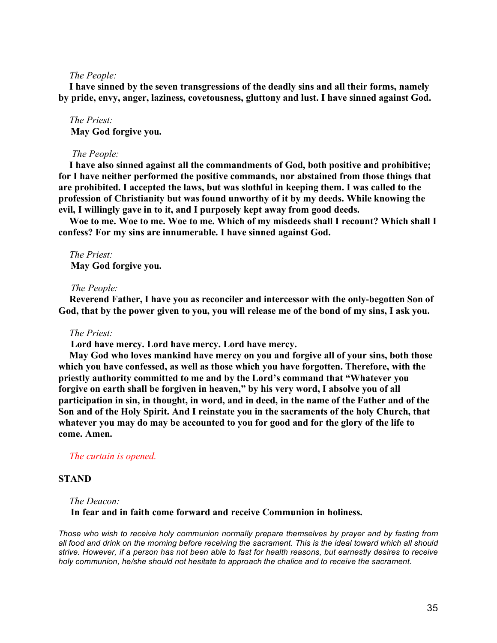## *The People:*

**I have sinned by the seven transgressions of the deadly sins and all their forms, namely by pride, envy, anger, laziness, covetousness, gluttony and lust. I have sinned against God.**

*The Priest:*  **May God forgive you.**

#### *The People:*

**I have also sinned against all the commandments of God, both positive and prohibitive; for I have neither performed the positive commands, nor abstained from those things that are prohibited. I accepted the laws, but was slothful in keeping them. I was called to the profession of Christianity but was found unworthy of it by my deeds. While knowing the evil, I willingly gave in to it, and I purposely kept away from good deeds.** 

**Woe to me. Woe to me. Woe to me. Which of my misdeeds shall I recount? Which shall I confess? For my sins are innumerable. I have sinned against God.**

*The Priest:*  **May God forgive you.**

#### *The People:*

**Reverend Father, I have you as reconciler and intercessor with the only-begotten Son of God, that by the power given to you, you will release me of the bond of my sins, I ask you.**

### *The Priest:*

 **Lord have mercy. Lord have mercy. Lord have mercy.**

**May God who loves mankind have mercy on you and forgive all of your sins, both those which you have confessed, as well as those which you have forgotten. Therefore, with the priestly authority committed to me and by the Lord's command that "Whatever you forgive on earth shall be forgiven in heaven," by his very word, I absolve you of all participation in sin, in thought, in word, and in deed, in the name of the Father and of the Son and of the Holy Spirit. And I reinstate you in the sacraments of the holy Church, that whatever you may do may be accounted to you for good and for the glory of the life to come. Amen.**

## *The curtain is opened.*

### **STAND**

## *The Deacon:*

 **In fear and in faith come forward and receive Communion in holiness.**

*Those who wish to receive holy communion normally prepare themselves by prayer and by fasting from all food and drink on the morning before receiving the sacrament. This is the ideal toward which all should strive. However, if a person has not been able to fast for health reasons, but earnestly desires to receive holy communion, he/she should not hesitate to approach the chalice and to receive the sacrament.*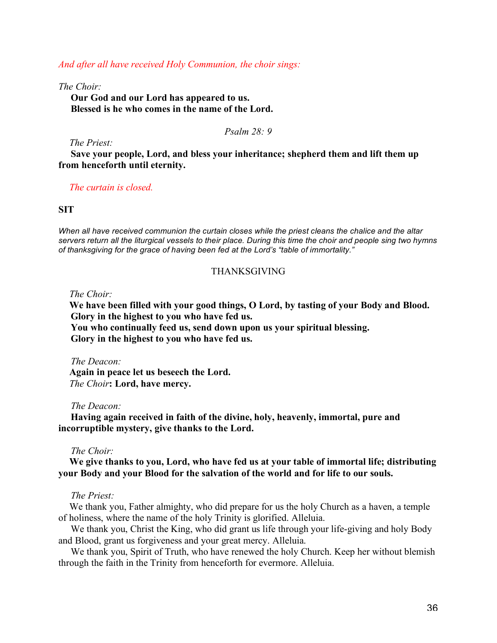*And after all have received Holy Communion, the choir sings:*

*The Choir:*

 **Our God and our Lord has appeared to us. Blessed is he who comes in the name of the Lord.**

*Psalm 28: 9*

*The Priest:*

 **Save your people, Lord, and bless your inheritance; shepherd them and lift them up from henceforth until eternity.**

*The curtain is closed.*

## **SIT**

*When all have received communion the curtain closes while the priest cleans the chalice and the altar servers return all the liturgical vessels to their place. During this time the choir and people sing two hymns of thanksgiving for the grace of having been fed at the Lord's "table of immortality."*

## THANKSGIVING

*The Choir:*

**We have been filled with your good things, O Lord, by tasting of your Body and Blood. Glory in the highest to you who have fed us.**

 **You who continually feed us, send down upon us your spiritual blessing. Glory in the highest to you who have fed us.**

 *The Deacon:*

**Again in peace let us beseech the Lord.**  *The Choir***: Lord, have mercy.**

### *The Deacon:*

 **Having again received in faith of the divine, holy, heavenly, immortal, pure and incorruptible mystery, give thanks to the Lord.**

## *The Choir:*

**We give thanks to you, Lord, who have fed us at your table of immortal life; distributing your Body and your Blood for the salvation of the world and for life to our souls.**

## *The Priest:*

We thank you, Father almighty, who did prepare for us the holy Church as a haven, a temple of holiness, where the name of the holy Trinity is glorified. Alleluia.

 We thank you, Christ the King, who did grant us life through your life-giving and holy Body and Blood, grant us forgiveness and your great mercy. Alleluia.

 We thank you, Spirit of Truth, who have renewed the holy Church. Keep her without blemish through the faith in the Trinity from henceforth for evermore. Alleluia.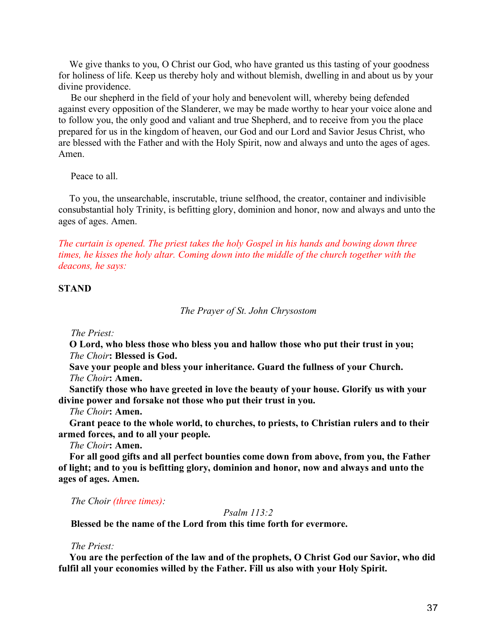We give thanks to you, O Christ our God, who have granted us this tasting of your goodness for holiness of life. Keep us thereby holy and without blemish, dwelling in and about us by your divine providence.

 Be our shepherd in the field of your holy and benevolent will, whereby being defended against every opposition of the Slanderer, we may be made worthy to hear your voice alone and to follow you, the only good and valiant and true Shepherd, and to receive from you the place prepared for us in the kingdom of heaven, our God and our Lord and Savior Jesus Christ, who are blessed with the Father and with the Holy Spirit, now and always and unto the ages of ages. Amen.

Peace to all.

To you, the unsearchable, inscrutable, triune selfhood, the creator, container and indivisible consubstantial holy Trinity, is befitting glory, dominion and honor, now and always and unto the ages of ages. Amen.

*The curtain is opened. The priest takes the holy Gospel in his hands and bowing down three times, he kisses the holy altar. Coming down into the middle of the church together with the deacons, he says:*

## **STAND**

*The Prayer of St. John Chrysostom*

 *The Priest:*

**O Lord, who bless those who bless you and hallow those who put their trust in you;** *The Choir***: Blessed is God.**

**Save your people and bless your inheritance. Guard the fullness of your Church.** *The Choir***: Amen.**

**Sanctify those who have greeted in love the beauty of your house. Glorify us with your divine power and forsake not those who put their trust in you.**

*The Choir***: Amen.**

**Grant peace to the whole world, to churches, to priests, to Christian rulers and to their armed forces, and to all your people.**

*The Choir***: Amen.**

**For all good gifts and all perfect bounties come down from above, from you, the Father of light; and to you is befitting glory, dominion and honor, now and always and unto the ages of ages. Amen.**

 *The Choir (three times):*

### *Psalm 113:2*

 **Blessed be the name of the Lord from this time forth for evermore.**

### *The Priest:*

**You are the perfection of the law and of the prophets, O Christ God our Savior, who did fulfil all your economies willed by the Father. Fill us also with your Holy Spirit.**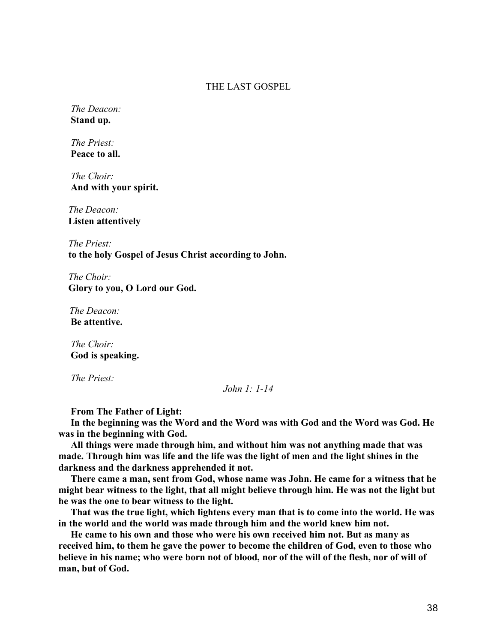## THE LAST GOSPEL

 *The Deacon:*  **Stand up.**

 *The Priest:*  **Peace to all.**

 *The Choir:*  **And with your spirit.**

 *The Deacon:*  **Listen attentively**

 *The Priest:*  **to the holy Gospel of Jesus Christ according to John.**

 *The Choir:*  **Glory to you, O Lord our God.**

*The Deacon:*  **Be attentive.**

 *The Choir:*  **God is speaking.**

 *The Priest:* 

## *John 1: 1-14*

 **From The Father of Light:**

 **In the beginning was the Word and the Word was with God and the Word was God. He was in the beginning with God.**

 **All things were made through him, and without him was not anything made that was made. Through him was life and the life was the light of men and the light shines in the darkness and the darkness apprehended it not.**

 **There came a man, sent from God, whose name was John. He came for a witness that he might bear witness to the light, that all might believe through him. He was not the light but he was the one to bear witness to the light.**

 **That was the true light, which lightens every man that is to come into the world. He was in the world and the world was made through him and the world knew him not.**

 **He came to his own and those who were his own received him not. But as many as received him, to them he gave the power to become the children of God, even to those who believe in his name; who were born not of blood, nor of the will of the flesh, nor of will of man, but of God.**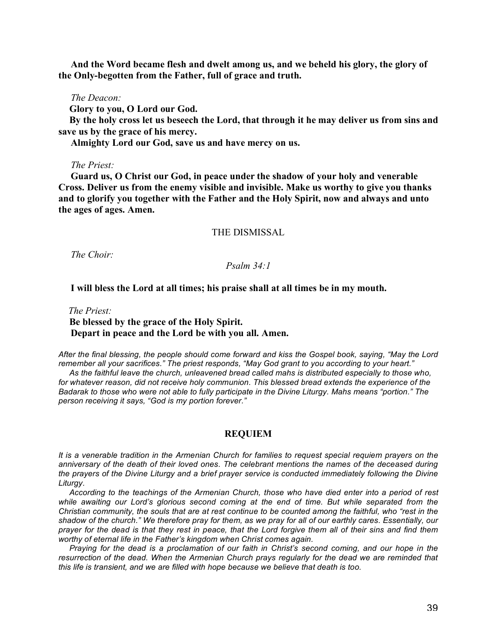**And the Word became flesh and dwelt among us, and we beheld his glory, the glory of the Only-begotten from the Father, full of grace and truth.**

#### *The Deacon:*

**Glory to you, O Lord our God.**

**By the holy cross let us beseech the Lord, that through it he may deliver us from sins and save us by the grace of his mercy.**

 **Almighty Lord our God, save us and have mercy on us.**

## *The Priest:*

 **Guard us, O Christ our God, in peace under the shadow of your holy and venerable Cross. Deliver us from the enemy visible and invisible. Make us worthy to give you thanks and to glorify you together with the Father and the Holy Spirit, now and always and unto the ages of ages. Amen.**

## THE DISMISSAL

 *The Choir:*

### *Psalm 34:1*

### **I will bless the Lord at all times; his praise shall at all times be in my mouth.**

 *The Priest:* **Be blessed by the grace of the Holy Spirit. Depart in peace and the Lord be with you all. Amen.**

*After the final blessing, the people should come forward and kiss the Gospel book, saying, "May the Lord remember all your sacrifices." The priest responds, "May God grant to you according to your heart."*

*As the faithful leave the church, unleavened bread called mahs is distributed especially to those who, for whatever reason, did not receive holy communion. This blessed bread extends the experience of the Badarak to those who were not able to fully participate in the Divine Liturgy. Mahs means "portion." The person receiving it says, "God is my portion forever."*

#### **REQUIEM**

*It is a venerable tradition in the Armenian Church for families to request special requiem prayers on the anniversary of the death of their loved ones. The celebrant mentions the names of the deceased during the prayers of the Divine Liturgy and a brief prayer service is conducted immediately following the Divine Liturgy.*

*According to the teachings of the Armenian Church, those who have died enter into a period of rest while awaiting our Lord's glorious second coming at the end of time. But while separated from the Christian community, the souls that are at rest continue to be counted among the faithful, who "rest in the shadow of the church." We therefore pray for them, as we pray for all of our earthly cares. Essentially, our prayer for the dead is that they rest in peace, that the Lord forgive them all of their sins and find them worthy of eternal life in the Father's kingdom when Christ comes again.*

*Praying for the dead is a proclamation of our faith in Christ's second coming, and our hope in the resurrection of the dead. When the Armenian Church prays regularly for the dead we are reminded that this life is transient, and we are filled with hope because we believe that death is too.*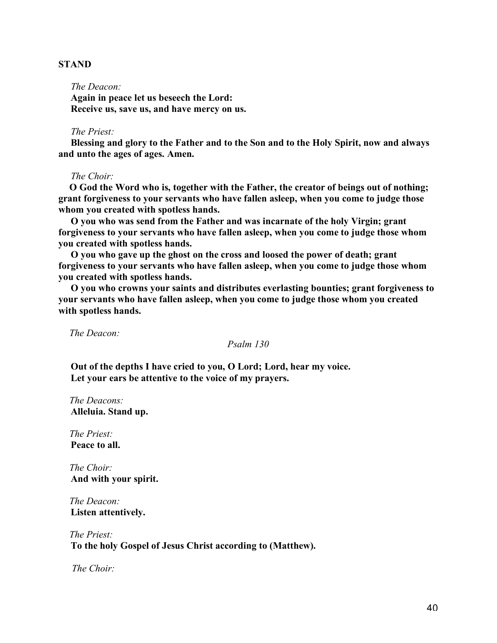## **STAND**

 *The Deacon:*

 **Again in peace let us beseech the Lord: Receive us, save us, and have mercy on us.**

#### *The Priest:*

 **Blessing and glory to the Father and to the Son and to the Holy Spirit, now and always and unto the ages of ages. Amen.**

### *The Choir:*

**O God the Word who is, together with the Father, the creator of beings out of nothing; grant forgiveness to your servants who have fallen asleep, when you come to judge those whom you created with spotless hands.**

 **O you who was send from the Father and was incarnate of the holy Virgin; grant forgiveness to your servants who have fallen asleep, when you come to judge those whom you created with spotless hands.**

 **O you who gave up the ghost on the cross and loosed the power of death; grant forgiveness to your servants who have fallen asleep, when you come to judge those whom you created with spotless hands.**

 **O you who crowns your saints and distributes everlasting bounties; grant forgiveness to your servants who have fallen asleep, when you come to judge those whom you created with spotless hands.**

*The Deacon:*

*Psalm 130*

 **Out of the depths I have cried to you, O Lord; Lord, hear my voice. Let your ears be attentive to the voice of my prayers.**

*The Deacons:*  **Alleluia. Stand up.**

*The Priest:*  **Peace to all.**

*The Choir:*  **And with your spirit.**

*The Deacon:*  **Listen attentively.**

*The Priest:*  **To the holy Gospel of Jesus Christ according to (Matthew).**

 *The Choir:*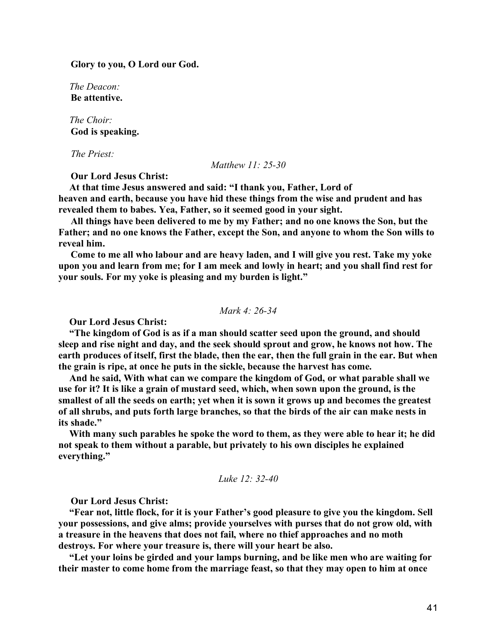**Glory to you, O Lord our God.**

*The Deacon:*  **Be attentive.**

*The Choir:*  **God is speaking.**

 *The Priest:*

*Matthew 11: 25-30*

 **Our Lord Jesus Christ:**

**At that time Jesus answered and said: "I thank you, Father, Lord of heaven and earth, because you have hid these things from the wise and prudent and has revealed them to babes. Yea, Father, so it seemed good in your sight.**

 **All things have been delivered to me by my Father; and no one knows the Son, but the Father; and no one knows the Father, except the Son, and anyone to whom the Son wills to reveal him.**

 **Come to me all who labour and are heavy laden, and I will give you rest. Take my yoke upon you and learn from me; for I am meek and lowly in heart; and you shall find rest for your souls. For my yoke is pleasing and my burden is light."**

*Mark 4: 26-34*

**Our Lord Jesus Christ:**

**"The kingdom of God is as if a man should scatter seed upon the ground, and should sleep and rise night and day, and the seek should sprout and grow, he knows not how. The earth produces of itself, first the blade, then the ear, then the full grain in the ear. But when the grain is ripe, at once he puts in the sickle, because the harvest has come.**

**And he said, With what can we compare the kingdom of God, or what parable shall we use for it? It is like a grain of mustard seed, which, when sown upon the ground, is the smallest of all the seeds on earth; yet when it is sown it grows up and becomes the greatest of all shrubs, and puts forth large branches, so that the birds of the air can make nests in its shade."**

**With many such parables he spoke the word to them, as they were able to hear it; he did not speak to them without a parable, but privately to his own disciples he explained everything."**

*Luke 12: 32-40*

 **Our Lord Jesus Christ:**

**"Fear not, little flock, for it is your Father's good pleasure to give you the kingdom. Sell your possessions, and give alms; provide yourselves with purses that do not grow old, with a treasure in the heavens that does not fail, where no thief approaches and no moth destroys. For where your treasure is, there will your heart be also.**

**"Let your loins be girded and your lamps burning, and be like men who are waiting for their master to come home from the marriage feast, so that they may open to him at once**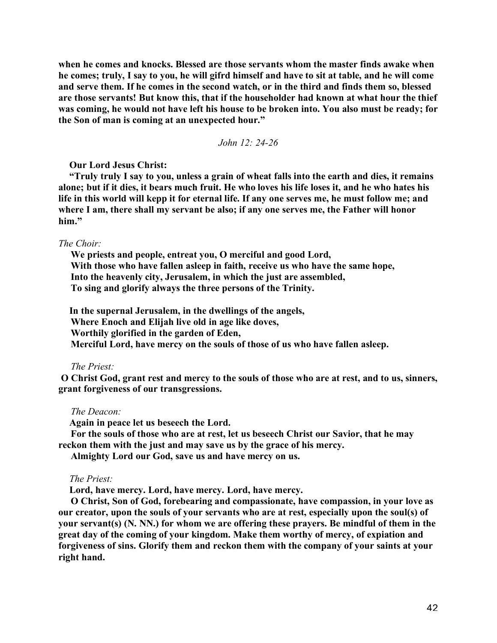**when he comes and knocks. Blessed are those servants whom the master finds awake when he comes; truly, I say to you, he will gifrd himself and have to sit at table, and he will come and serve them. If he comes in the second watch, or in the third and finds them so, blessed are those servants! But know this, that if the householder had known at what hour the thief was coming, he would not have left his house to be broken into. You also must be ready; for the Son of man is coming at an unexpected hour."**

*John 12: 24-26*

**Our Lord Jesus Christ:**

**"Truly truly I say to you, unless a grain of wheat falls into the earth and dies, it remains alone; but if it dies, it bears much fruit. He who loves his life loses it, and he who hates his life in this world will kepp it for eternal life. If any one serves me, he must follow me; and where I am, there shall my servant be also; if any one serves me, the Father will honor him."**

#### *The Choir:*

 **We priests and people, entreat you, O merciful and good Lord, With those who have fallen asleep in faith, receive us who have the same hope, Into the heavenly city, Jerusalem, in which the just are assembled, To sing and glorify always the three persons of the Trinity.**

**In the supernal Jerusalem, in the dwellings of the angels, Where Enoch and Elijah live old in age like doves, Worthily glorified in the garden of Eden, Merciful Lord, have mercy on the souls of those of us who have fallen asleep.**

## *The Priest:*

 **O Christ God, grant rest and mercy to the souls of those who are at rest, and to us, sinners, grant forgiveness of our transgressions.**

### *The Deacon:*

**Again in peace let us beseech the Lord.**

 **For the souls of those who are at rest, let us beseech Christ our Savior, that he may reckon them with the just and may save us by the grace of his mercy.**

 **Almighty Lord our God, save us and have mercy on us.**

### *The Priest:*

**Lord, have mercy. Lord, have mercy. Lord, have mercy.**

 **O Christ, Son of God, forebearing and compassionate, have compassion, in your love as our creator, upon the souls of your servants who are at rest, especially upon the soul(s) of your servant(s) (N. NN.) for whom we are offering these prayers. Be mindful of them in the great day of the coming of your kingdom. Make them worthy of mercy, of expiation and forgiveness of sins. Glorify them and reckon them with the company of your saints at your right hand.**